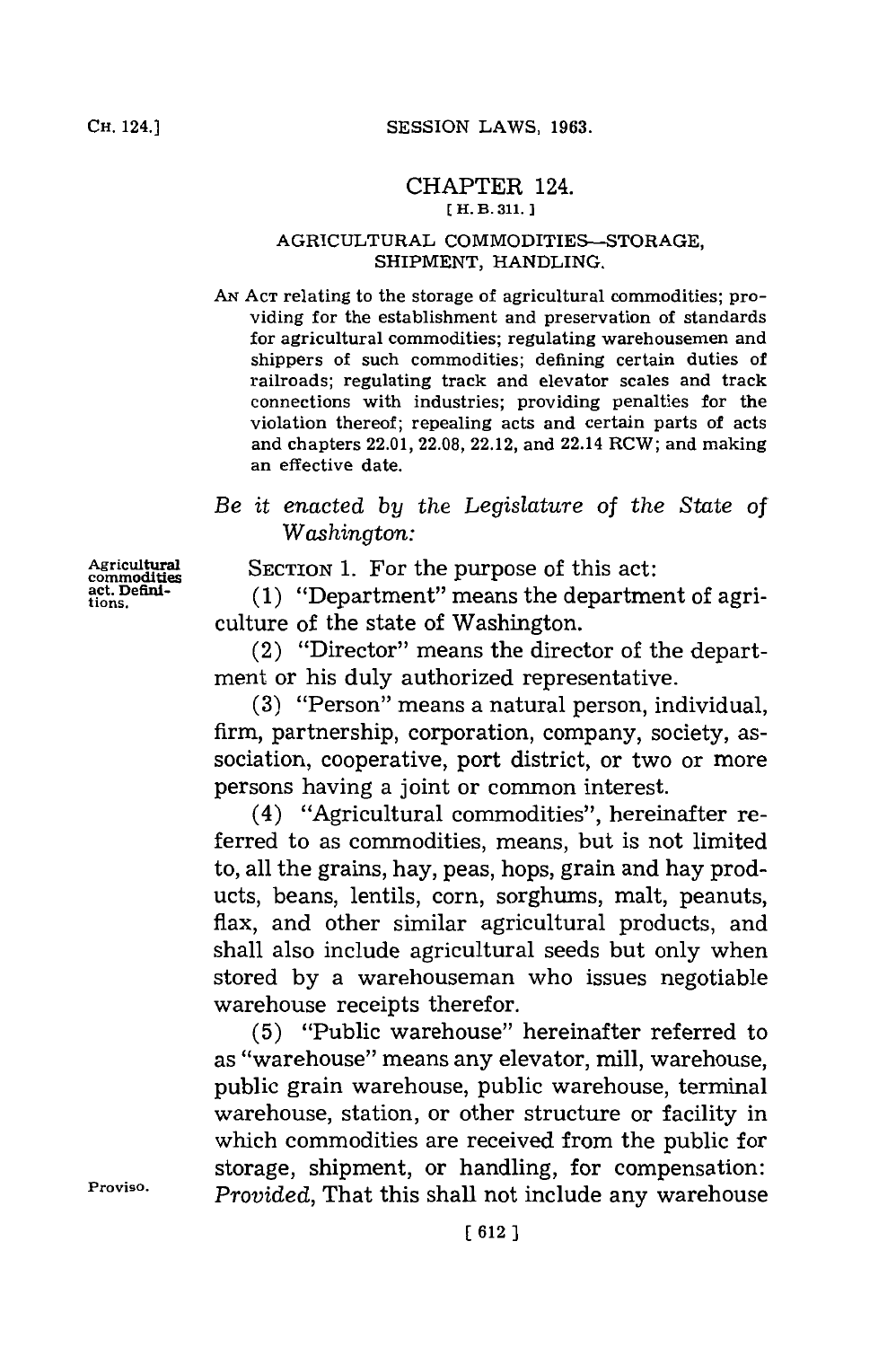## CHAPTER 124. **C H. B. 311. 1**

## AGRICULTURAL COMMODITIES-STORAGE, SHIPMENT, HANDLING.

**AN ACT** relating to the storage of agricultural commodities; providing for the establishment and preservation of standards for agricultural commodities; regulating warehousemen and shippers of such commodities; defining certain duties of railroads; regulating track and elevator scales and track connections with industries; providing penalties for the violation thereof; repealing acts and certain parts of acts and chapters 22.01, **22.08,** 22.12, and 22.14 RCW; and making an effective date.

## *Be it enacted by the Legislature of the State of Washington:*

Agricultural **SECTION 1.** For the purpose of this act:<br>
commodities (1) "Department" means the department

 $\text{Ric.}$  Defini- (1) "Department" means the department of agriculture of the state of Washington.

> (2) "Director" means the director of the department or his duly authorized representative.

> **(3)** "Person" means a natural person, individual, firm, partnership, corporation, company, society, association, cooperative, port district, or two or more persons having a joint or common interest.

> (4) "Agricultural commodities", hereinafter referred to as commodities, means, but is not limited to, all the grains, hay, peas, hops, grain and hay products, beans, lentils, corn, sorghums, malt, peanuts, flax, and other similar agricultural products, and shall also include agricultural seeds but only when stored **by** a warehouseman who issues negotiable warehouse receipts therefor.

**(5)** "Public warehouse" hereinafter referred to as "warehouse" means any elevator, mill, warehouse, public grain warehouse, public warehouse, terminal warehouse, station, or other structure or facility in which commodities are received from the public for storage, shipment, or handling, for compensation: **Proviso.** *Provided,* That this shall not include any warehouse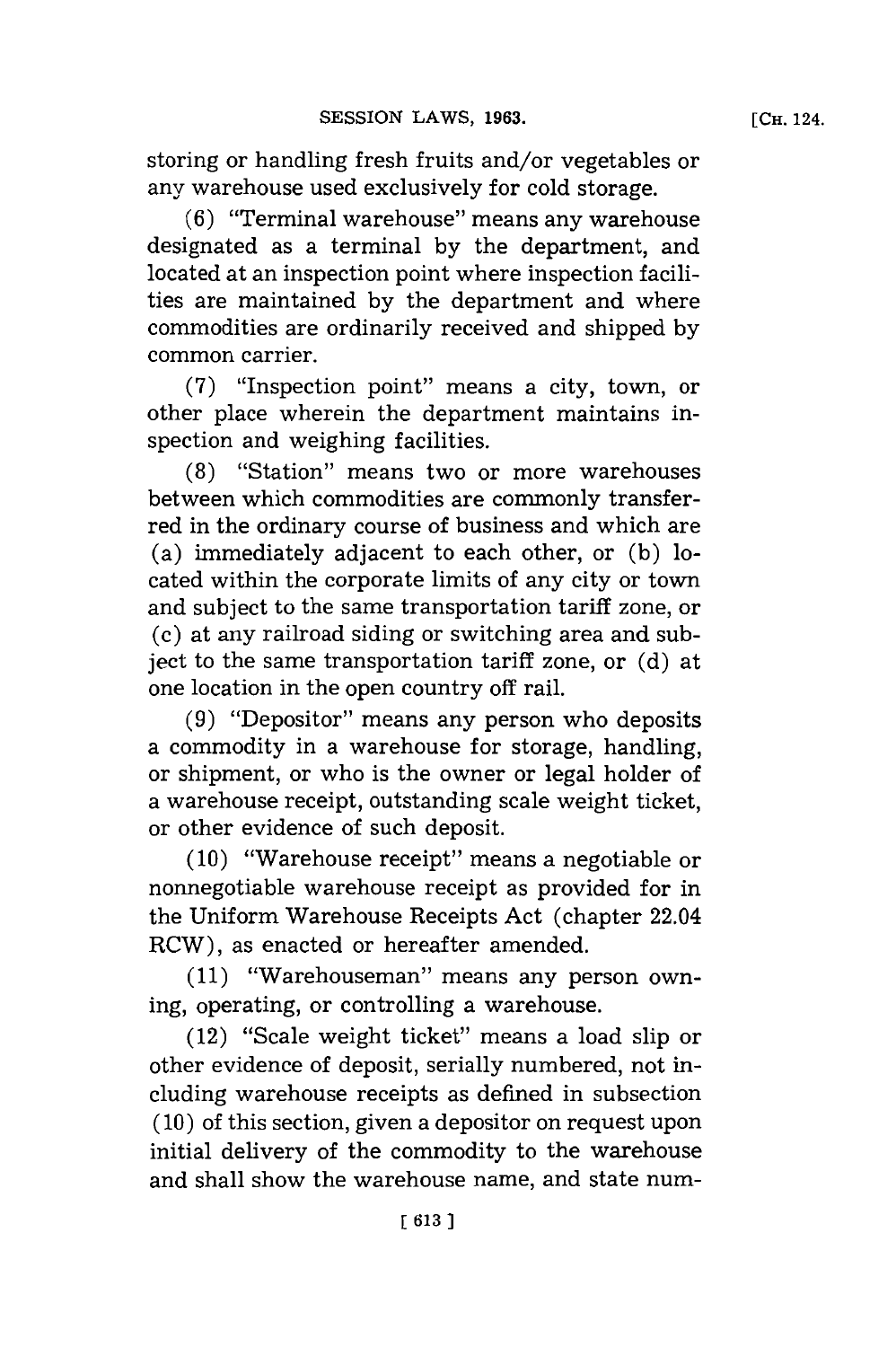storing or handling fresh fruits and/or vegetables or any warehouse used exclusively for cold storage.

**(6)** "Terminal warehouse" means any warehouse designated as a terminal **by** the department, and located at an inspection point where inspection facilities are maintained **by** the department and where commodities are ordinarily received and shipped **by** common carrier.

**(7)** "Inspection point" means a city, town, or other place wherein the department maintains inspection and weighing facilities.

**(8)** "Station" means two or more warehouses between which commodities are commonly transferred in the ordinary course of business and which are (a) immediately adjacent to each other, or **(b)** located within the corporate limits of any city or town and subject to the same transportation tariff zone, or (c) at any railroad siding or switching area and subject to the same transportation tariff zone, or **(d)** at one location in the open country off rail.

**(9)** "Depositor" means any person who deposits a commodity in a warehouse for storage, handling, or shipment, or who is the owner or legal holder of a warehouse receipt, outstanding scale weight ticket, or other evidence of such deposit.

**(10)** "Warehouse receipt" means a negotiable or nonnegotiable warehouse receipt as provided for in the Uniform Warehouse Receipts Act (chapter 22.04 RCW), as enacted or hereafter amended.

**(11)** "Warehouseman" means any person owning, operating, or controlling a warehouse.

(12) "Scale weight ticket" means a load slip or other evidence of deposit, serially numbered, not including warehouse receipts as defined in subsection **(10)** of this section, given a depositor on request upon initial delivery of the commodity to the warehouse and shall show the warehouse name, and state num-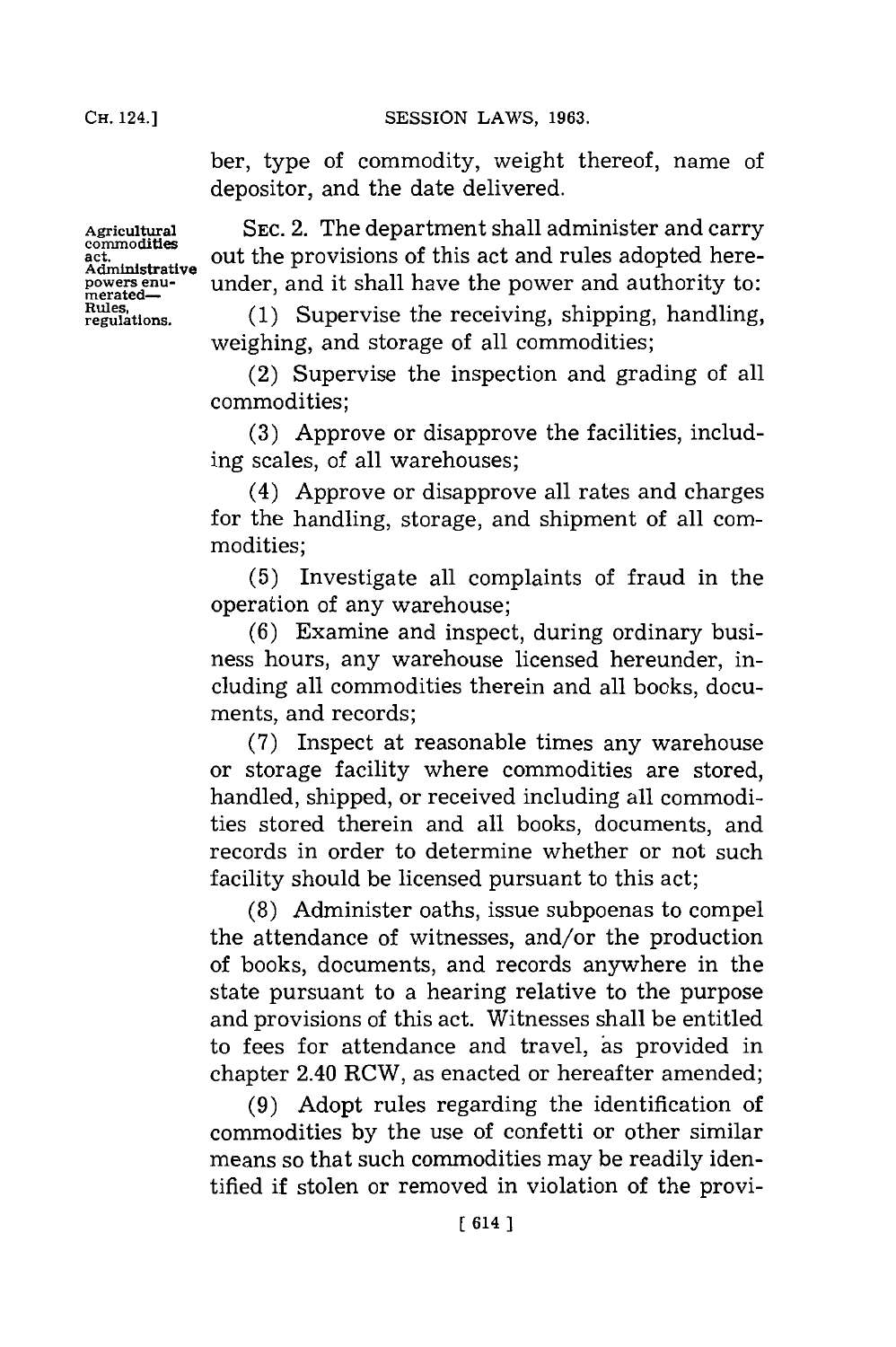ber, type of commodity, weight thereof, name of depositor, and the date delivered.

**SEC.** 2. The department shall administer and carry out the provisions of this act and rules adopted hereunder, and it shall have the power and authority to:

**(1)** Supervise the receiving, shipping, handling, weighing, and storage of all commodities;

(2) Supervise the inspection and grading of all commodities;

**(3)** Approve or disapprove the facilities, including scales, of all warehouses;

(4) Approve or disapprove all rates and charges for the handling, storage, and shipment of all commodities;

**(5)** Investigate all complaints of fraud in the operation of any warehouse;

**(6)** Examine and inspect, during ordinary business hours, any warehouse licensed hereunder, including all commodities therein and all books, documents, and records;

**(7)** Inspect at reasonable times any warehouse or storage facility where commodities are stored, handled, shipped, or received including all commodities stored therein and all books, documents, and records in order to determine whether or not such facility should be licensed pursuant to this act;

**(8)** Administer oaths, issue subpoenas to compel the attendance of witnesses, and/or the production of books, documents, and records anywhere in the state pursuant to a hearing relative to the purpose and provisions of this act. Witnesses shall be entitled to fees for attendance and travel, as provided in chapter 2.40 RCW, as enacted or hereafter amended;

**(9)** Adopt rules regarding the identification of commodities **by** the use of confetti or other similar means so that such commodities may be readily identified if stolen or removed in violation of the provi-

**Agricultural commodities act. Administrative powers enu-Rules, regulations.**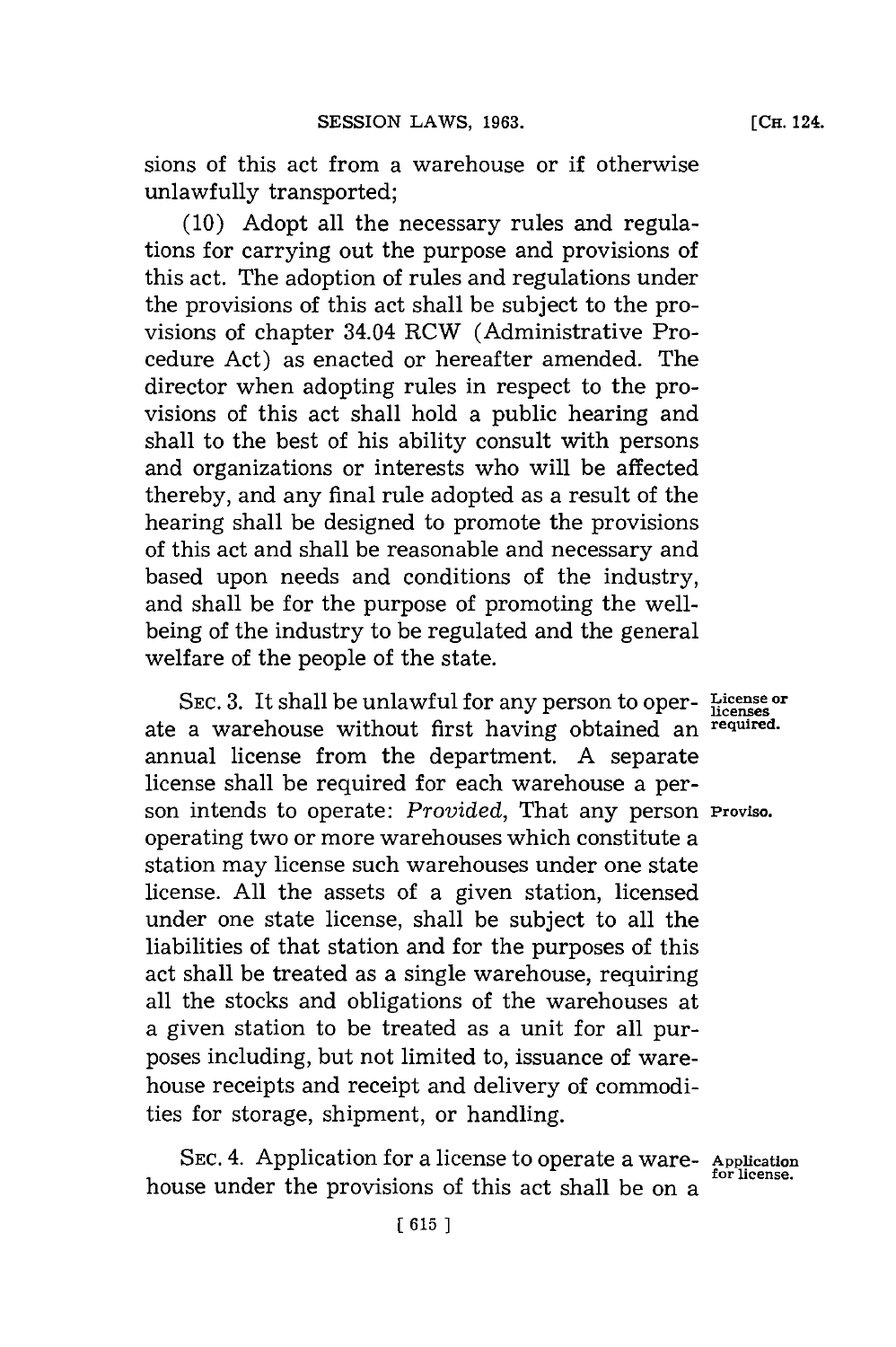sions of this act from a warehouse or if otherwise unlawfully transported;

**(10)** Adopt all the necessary rules and regulations for carrying out the purpose and provisions of this act. The adoption of rules and regulations under the provisions of this act shall be subject to the provisions of chapter 34.04 RCW (Administrative Procedure Act) as enacted or hereafter amended. The director when adopting rules in respect to the provisions of this act shall hold a public hearing and shall to the best of his ability consult with persons and organizations or interests who will be affected thereby, and any final rule adopted as a result of the hearing shall be designed to promote the provisions of this act and shall be reasonable and necessary and based upon needs and conditions of the industry, and shall be for the purpose of promoting the wellbeing of the industry to be regulated and the general welfare of the people of the state.

SEC. 3. It shall be unlawful for any person to oper-Licenses or ate a warehouse without first having obtained an **required.** annual license from the department. **A** separate license shall be required for each warehouse a person intends to operate: *Provided,* That any person **Proviso.** operating two or more warehouses which constitute a station may license such warehouses under one state license. **All** the assets of a given station, licensed under one state license, shall be subject to all the liabilities of that station and for the purposes of this act shall be treated as a single warehouse, requiring all the stocks and obligations of the warehouses at a given station to be treated as a unit for all purposes including, but not limited to, issuance of warehouse receipts and receipt and delivery of commodities for storage, shipment, or handling.

SEC. 4. Application for a license to operate a ware- Application for license. house under the provisions of this act shall be on a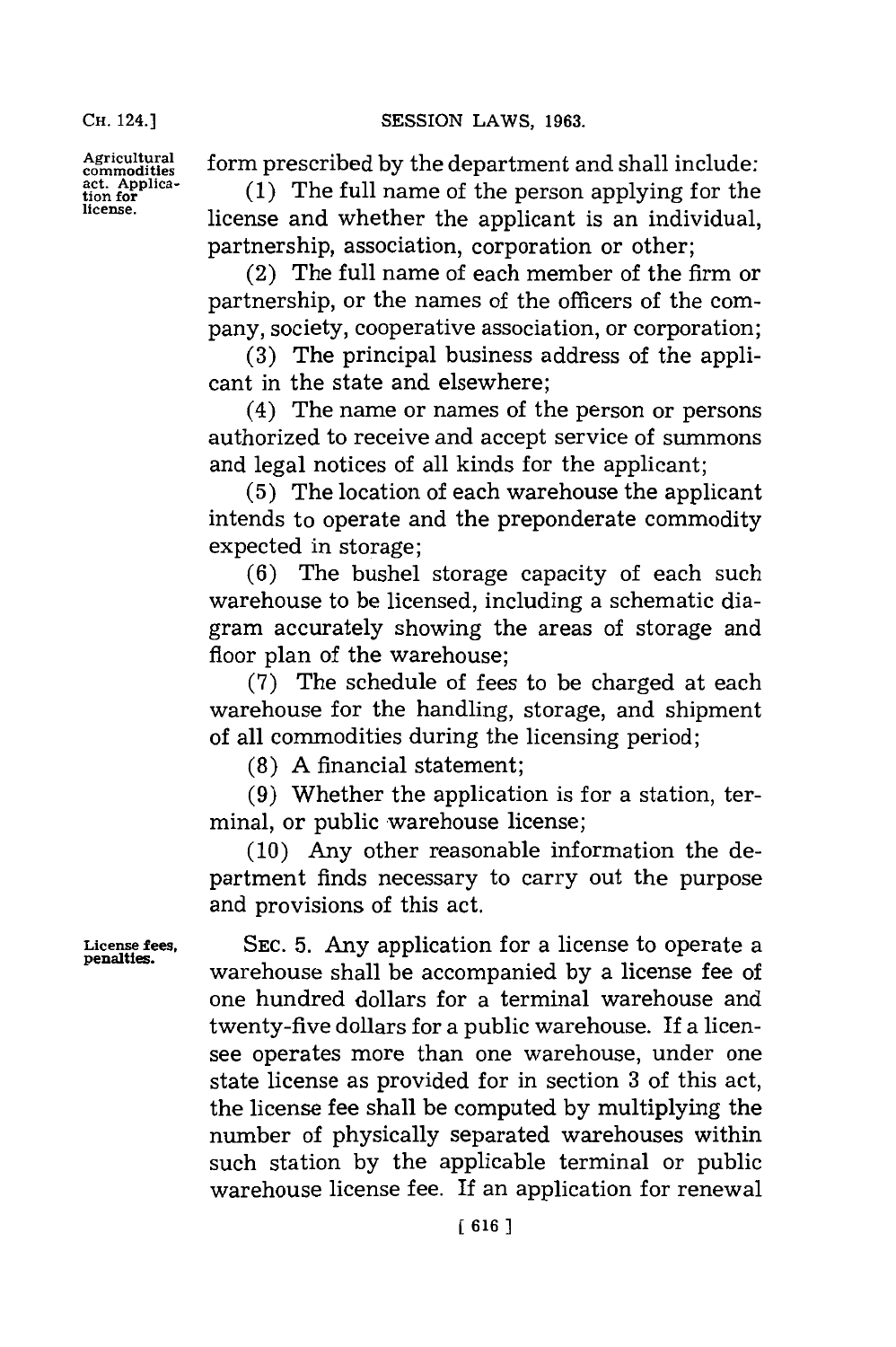Agricultural form prescribed by the department and shall include:

**commodities**<br>tion for **complete**<br>discussed **commodities commodities the contribution of**  $\mathbf{r}$  are individual **license,** license and whether the applicant is an individual, partnership, association, corporation or other;

> (2) The full name of each member of the firm or partnership, or the names of the officers of the company, society, cooperative association, or corporation;

> **(3)** The principal business address of the applicant in the state and elsewhere;

> (4) The name or names of the person or persons authorized to receive and accept service of summons and legal notices of all kinds for the applicant;

> **(5)** The location of each warehouse the applicant intends to operate and the preponderate commodity expected in storage;

> **(6)** The bushel storage capacity of each such warehouse to be licensed, including a schematic diagram accurately showing the areas of storage and floor plan of the warehouse;

> **(7)** The schedule of **f** ees to be charged at each warehouse for the handling, storage, and shipment of all commodities during the licensing period;

**(8) A** financial statement;

**(9)** Whether the application is **for** a station, terminal, or public warehouse license;

**(10)** Any other reasonable information the department finds necessary to carry out the purpose and provisions of this act.

**License fees, SEC. 5.** Any application for a license to operate a **penalties.** warehouse shall be accompanied **by** a license fee of one hundred dollars for a terminal warehouse and twenty-five dollars for a public warehouse. **If** a licensee operates more than one warehouse, under one state license as provided for in section **3** of this act, the license fee shall be computed **by** multiplying the number of physically separated warehouses within such station **by** the applicable terminal or public warehouse license fee. If an application for renewal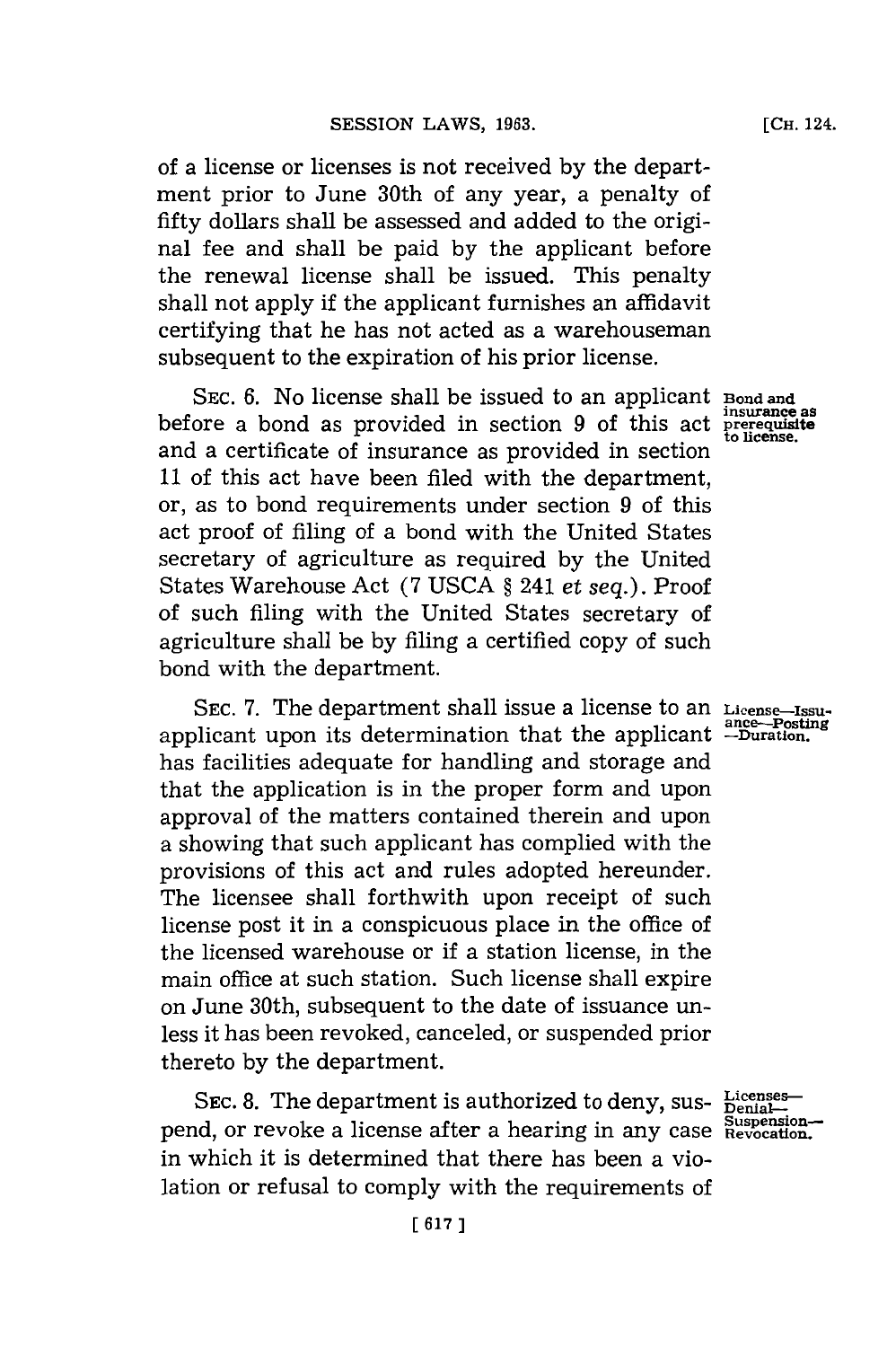of a license or licenses is not received **by** the department prior to June 30th of any year, a penalty of fifty dollars shall be assessed and added to the original fee and shall be paid **by** the applicant before the renewal license shall be issued. This penalty shall not apply if the applicant furnishes an affidavit certifying that he has not acted as a warehouseman subsequent to the expiration of his prior license.

SEC. 6. No license shall be issued to an applicant **Bond** and before a bond as provided in section 9 of this act **pre-equilate**<br>before a bond as provided in section 9 of this act **pre-equisite** and a certificate of insurance as provided in section **11** of this act have been filed with the department, or, as to bond requirements under section **9** of this act proof of filing of a bond with the United States secretary of agriculture as required **by** the United States Warehouse Act **(7 USCA §** 241 et *seq.).* Proof of such filing with the United States secretary of agriculture shall be **by** filing a certified copy of such bond with the department.

**SEC. 7.** The department shall issue a license to an **License-Issu**applicant upon its determination that the applicant  $\frac{1}{2}$  -Duration. has facilities adequate for handling and storage and that the application is in the proper form and upon approval of the matters contained therein and upon a showing that such applicant has complied with the provisions of this act and rules adopted hereunder. The licensee shall forthwith upon receipt of such license post it in a conspicuous place in the office of the licensed warehouse or if a station license, in the main office at such station. Such license shall expire on June 30th, subsequent to the date of issuance unless it has been revoked, canceled, or suspended prior thereto **by** the department.

SEC. 8. The department is authorized to deny, sus- Licenses pend, or revoke a license after a hearing in any case **Suspension-**<br>
<sup>Suspension-store and the subsequent of the suspension-</sup> in which it is determined that there has been a violation or refusal to comply with the requirements of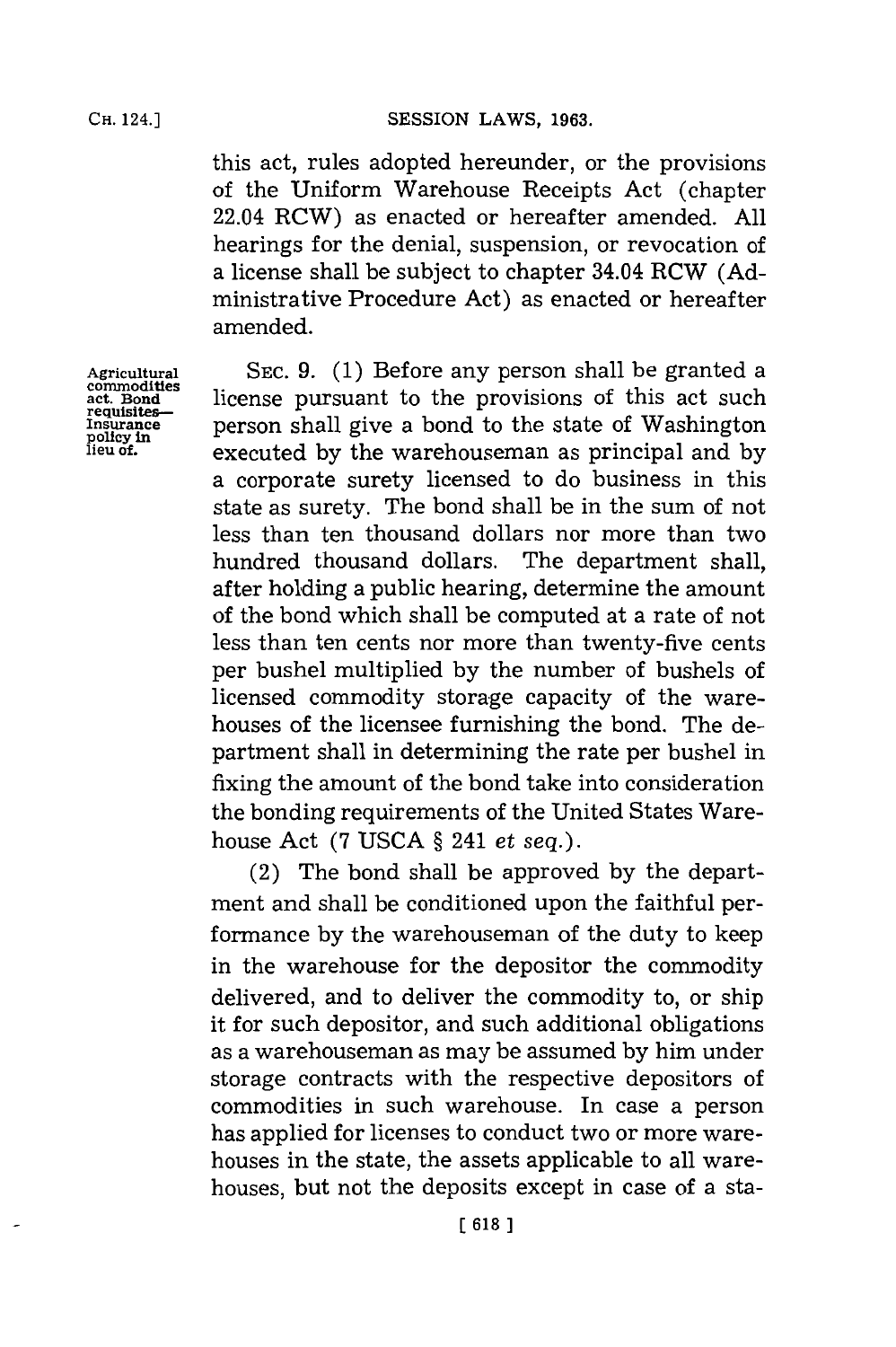this act, rules adopted hereunder, or the provisions of the Uniform Warehouse Receipts Act (chapter 22.04 RCW) as enacted or hereafter amended. **All** hearings for the denial, suspension, or revocation of a license shall be subject to chapter 34.04 RCW **(Ad**ministrative Procedure Act) as enacted or hereafter amended.

**Agricultural SEC. 9. (1)** Before any person shall be granted a ect. Bond **act. Bond license pursuant to the provisions of this act such requisites-**<br>**act. Bond person** shall give a bond to the state of Washington policy in **Insurance person shall give a bond to the state of Washington**<br> **Insurance** *policy in* **executed** by the warehouseman as principal and by ileu of executed by the warehouseman as principal and by a corporate surety licensed to do business in this state as surety. The bond shall be in the sum of not less than ten thousand dollars nor more than two hundred thousand dollars. The department shall, after holding a public hearing, determine the amount of the bond which shall be computed at a rate of not less than ten cents nor more than twenty-five cents per bushel multiplied **by** the number of bushels of licensed commodity storage capacity of the warehouses of the licensee furnishing the bond. The department shall in determining the rate per bushel in fixing the amount of the bond take into consideration the bonding requirements of the United States Warehouse Act **(7 USCA §** 241 *et seq.).*

> (2) The bond shall be approved **by** the department and shall be conditioned upon the faithful performance **by** the warehouseman of the duty to keep in the warehouse for the depositor the commodity delivered, and to deliver the commodity to, or ship it for such depositor, and such additional obligations as a warehouseman as may be assumed **by** him under storage contracts with the respective depositors of commodities in such warehouse. In case a person has applied for licenses to conduct two or more warehouses in the state, the assets applicable to all warehouses, but not the deposits except in case of a sta-

**commodities**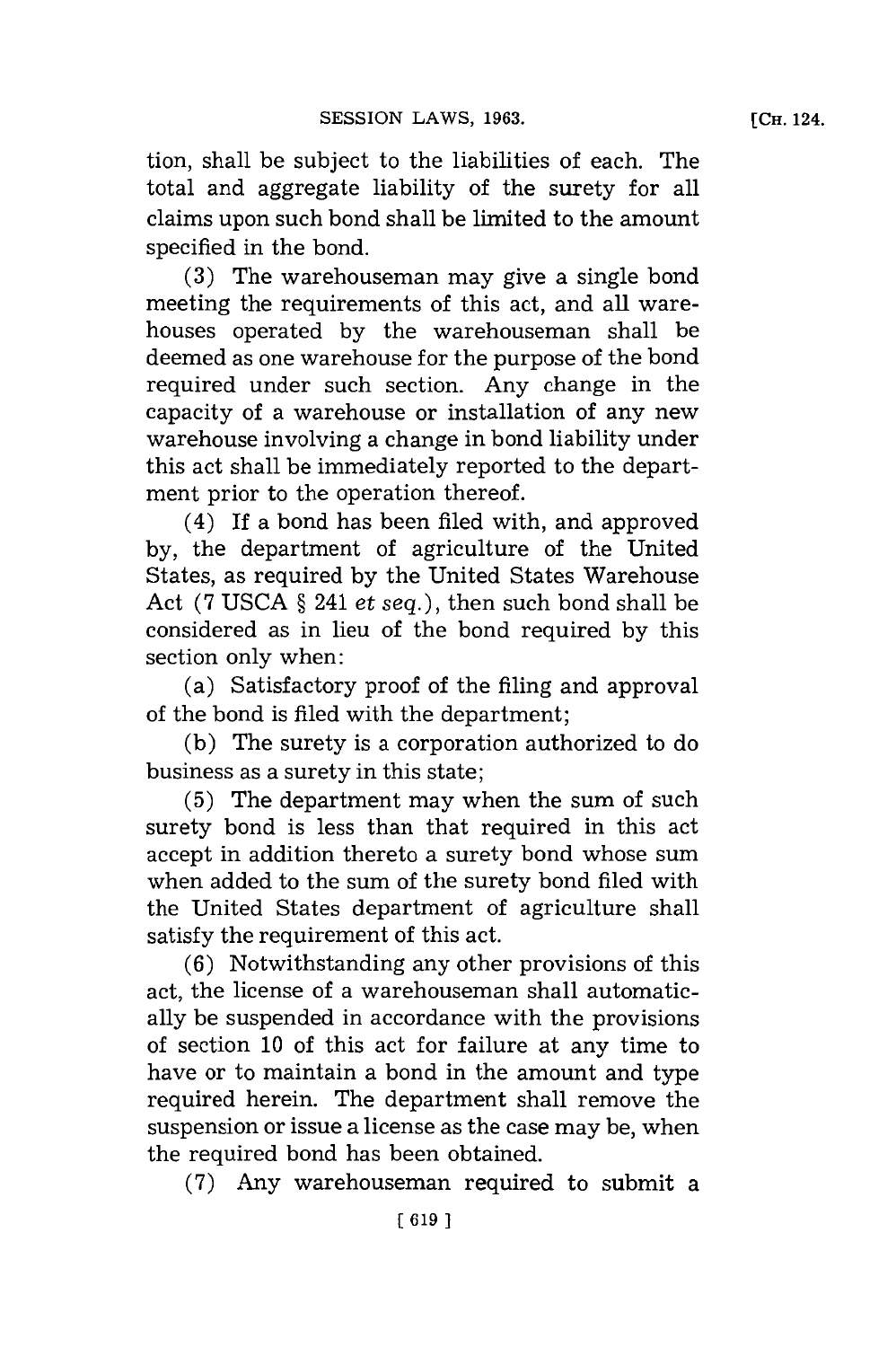tion, shall be subject to the liabilities of each. The total and aggregate liability of the surety for all claims upon such bond shall be limited to the amount specified in the bond.

**(3)** The warehouseman may give a single bond meeting the requirements of this act, and all warehouses operated **by** the warehouseman shall be deemed as one warehouse for the purpose of the bond required under such section. Any change in the capacity of a warehouse or installation of any new warehouse involving a change in bond liability under this act shall be immediately reported to the department prior to the operation thereof.

(4) **If** a bond has been filed with, and approved **by,** the department of agriculture of the United States, as required **by** the United States Warehouse Act **(7 USCA §** 241 *et seq.),* then such bond shall be considered as in lieu of the bond required **by** this section only when:

(a) Satisfactory proof of the filing and approval of the bond is filed with the department;

**(b)** The surety is a corporation authorized to do business as a surety in this state;

**(5)** The department may when the sum of such surety bond is less than that required in this act accept in addition thereto a surety bond whose sum when added to the sum of the surety bond filed with the United States department of agriculture shall satisfy the requirement of this act.

**(6)** Notwithstanding any other provisions of this act, the license of a warehouseman shall automatically be suspended in accordance with the provisions of section **10** of this act for failure at any time to have or to maintain a bond in the amount and type required herein. The department shall remove the suspension or issue a license as the case may be, when the required bond has been obtained.

**(7)** Any warehouseman required to submit a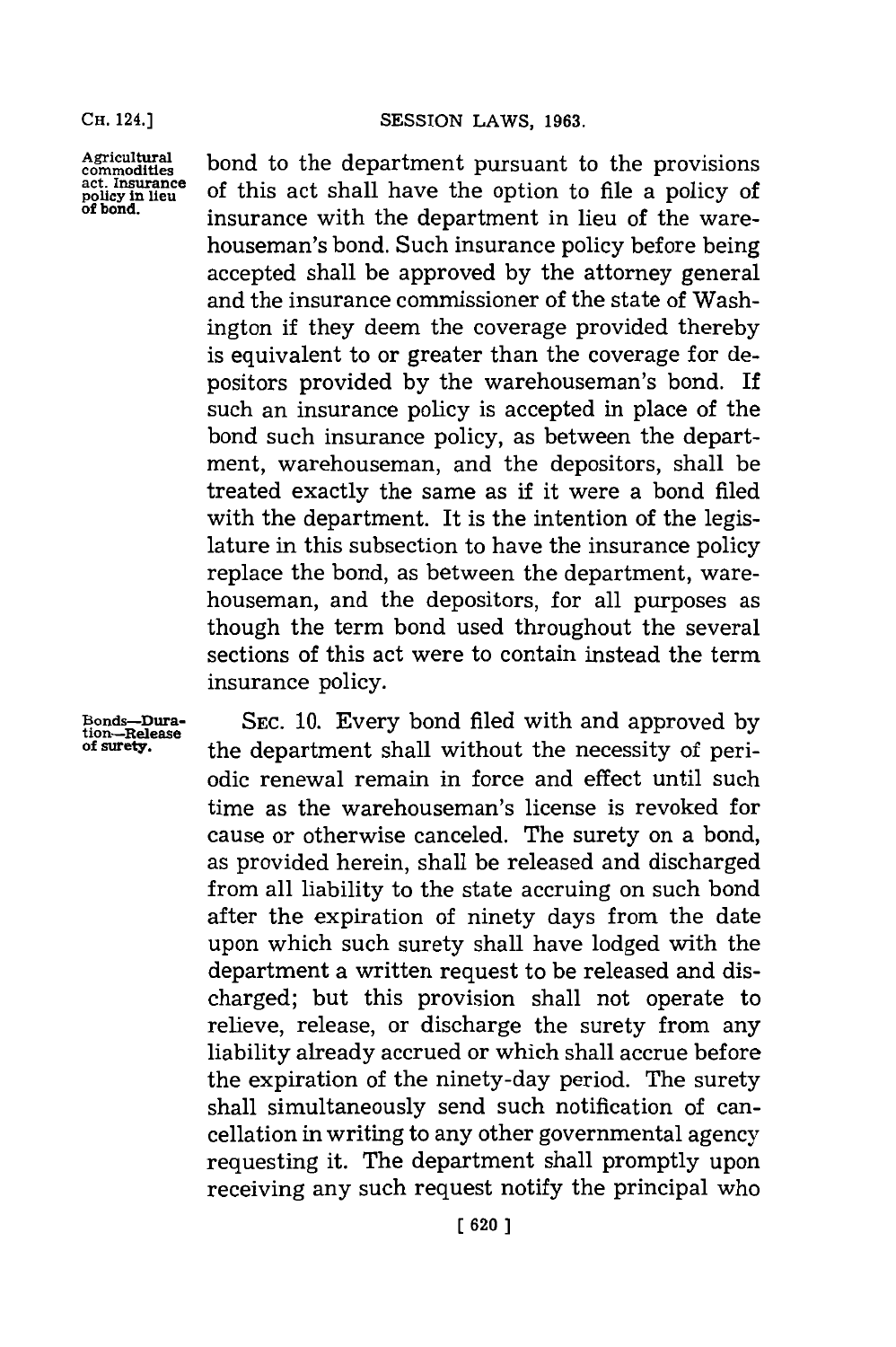**Agricultural commodities act. Insurance policy in lieu of bond.** bond to the department pursuant to the provisions of this act shall have the option to file a policy of insurance with the department in lieu of the warehouseman's bond. Such insurance policy before being accepted shall be approved **by** the attorney general and the insurance commissioner of the state of Washington if they deem the coverage provided thereby is equivalent to or greater than the coverage for depositors provided **by** the warehouseman's bond. If such an insurance policy is accepted in place of the bond such insurance policy, as between the department, warehouseman, and the depositors, shall be treated exactly the same as if it were a bond filed with the department. It is the intention of the legislature in this subsection to have the insurance policy replace the bond, as between the department, warehouseman, and the depositors, for all purposes as though the term bond used throughout the several sections of this act were to contain instead the term insurance policy.

**Bonds-Dura-tion-Release of surety.**

**SEC. 10.** Every bond filed with and approved **by** the department shall without the necessity of periodic renewal remain in force and effect until such time as the warehouseman's license is revoked for cause or otherwise canceled. The surety on a bond, as provided herein, shall be released and discharged from all liability to the state accruing on such bond after the expiration of ninety days from the date upon which such surety shall have lodged with the department a written request to be released and discharged; but this provision shall not operate to relieve, release, or discharge the surety from any liability already accrued or which shall accrue before the expiration of the ninety-day period. The surety shall simultaneously send such notification of cancellation in writing to any other governmental agency requesting it. The department shall promptly upon receiving any such request notify the principal who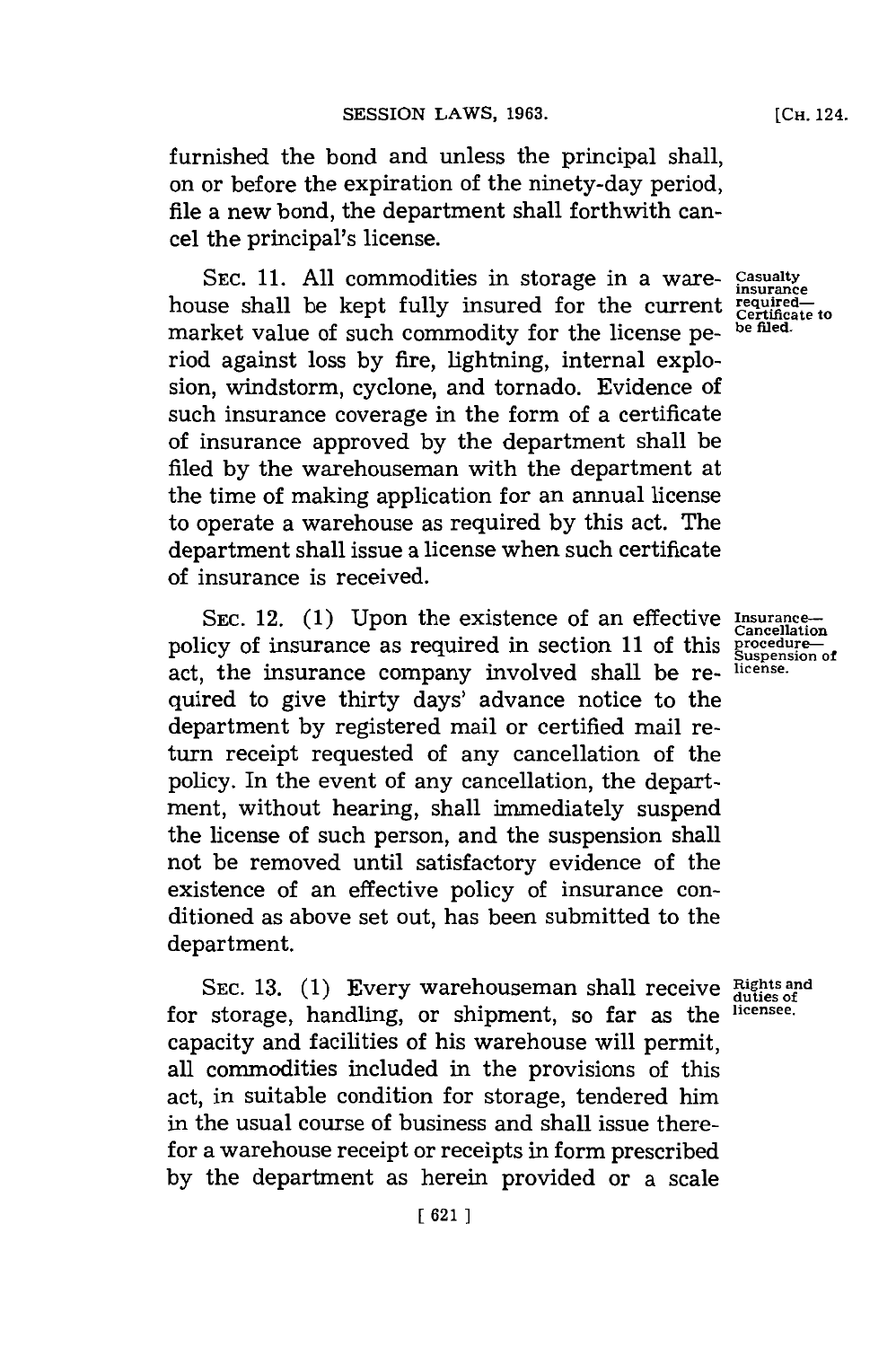furnished the bond and unless the principal shall, on or before the expiration of the ninety-day period, file a new bond, the department shall forthwith cancel the principal's license.

SEC. 11. All commodities in storage in a ware- Casualty house shall be kept fully insured for the current **required-Certifiate to** market value of such commodity for the license pe- be filed riod against loss **by** fire, lightning, internal explosion, windstorm, cyclone, and tornado. Evidence of such insurance coverage in the form of a certificate of insurance approved **by** the department shall be filed **by** the warehouseman with the department at the time of making application for an annual license to operate a warehouse as required **by** this act. The department shall issue a license when such certificate of insurance is received.

SEC. 12. (1) Upon the existence of an effective Insurancepolicy of insurance as required in section 11 of this **procedure** act, the insurance company involved shall be required to give thirty days' advance notice to the department **by** registered mail or certified mail return receipt requested of any cancellation of the policy. In the event of any cancellation, the department, without hearing, shall immediately suspend the license of such person, and the suspension shall not be removed until satisfactory evidence of the existence of an effective policy of insurance conditioned as above set out, has been submitted to the department.

**SEC. 13. (1)** Every warehouseman shall receive **Rightsand duties of** for storage, handling, or shipment, so far as the licensee. capacity and facilities of his warehouse will permit, all commodities included in the provisions of this act, in suitable condition for storage, tendered him in the usual course of business and shall issue therefor a warehouse receipt or receipts in form prescribed **by** the department as herein provided or a scale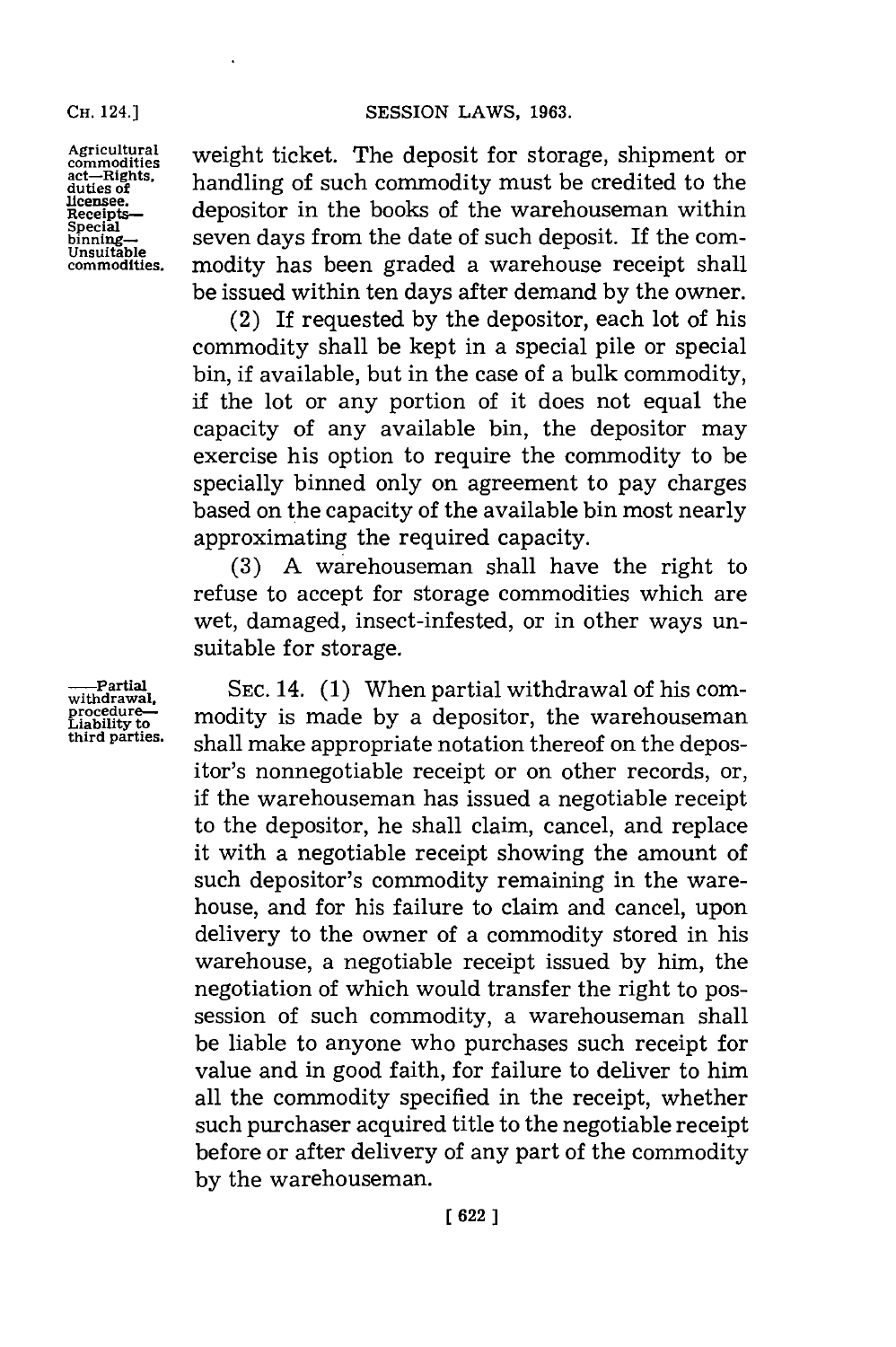licensee.<br>Receipts

Agricultural weight ticket. The **act-** Rights, weight ticket. The deposit for storage, shipment or act-rights, handling of such commodity must be credited to the  $\text{Receits}\ \text{Receits}\ \text{depositor in the books of the warehouse}$  within special  $\text{Receits}\ \text{Sereits}$ . **binning-** seven days from the date of such deposit. If the corncommoities. modity has been graded a warehouse receipt shall be issued within ten days after demand **by** the owner.

> (2) If requested **by** the depositor, each lot of his commodity shall be kept in a special pile or special bin, if available, but in the case of a bulk commodity, if the lot or any portion of it does not equal the capacity of any available bin, the depositor may exercise his option to require the commodity to be specially binned only on agreement to pay charges based on the capacity of the available bin most nearly approximating the required capacity.

> **(3) A** warehouseman shall have the right to refuse to accept for storage commodities which are wet, damaged, insect-infested, or in other ways unsuitable for storage.

**---Partial** SEC. 14. (1) When partial withdrawal of his comprocedure--<br>Liability to **modity** is made by a depositor, the warehouseman<br>third parties.<br> $\frac{1}{2}$  aboll molto oppropriate netation thereof on the donor shall make appropriate notation thereof on the depositor's nonnegotiable receipt or on other records, or, if the warehouseman has issued a negotiable receipt to the depositor, he shall claim, cancel, and replace it with a negotiable receipt showing the amount of such depositor's commodity remaining in the warehouse, and for his failure to claim and cancel, upon delivery to the owner of a commodity stored in his warehouse, a negotiable receipt issued **by** him, the negotiation of which would transfer the right to possession of such commodity, a warehouseman shall be liable to anyone who purchases such receipt for value and in good faith, for failure to deliver to him all the commodity specified in the receipt, whether such purchaser acquired title to the negotiable receipt before or after delivery of any part of the commodity **by** the warehouseman.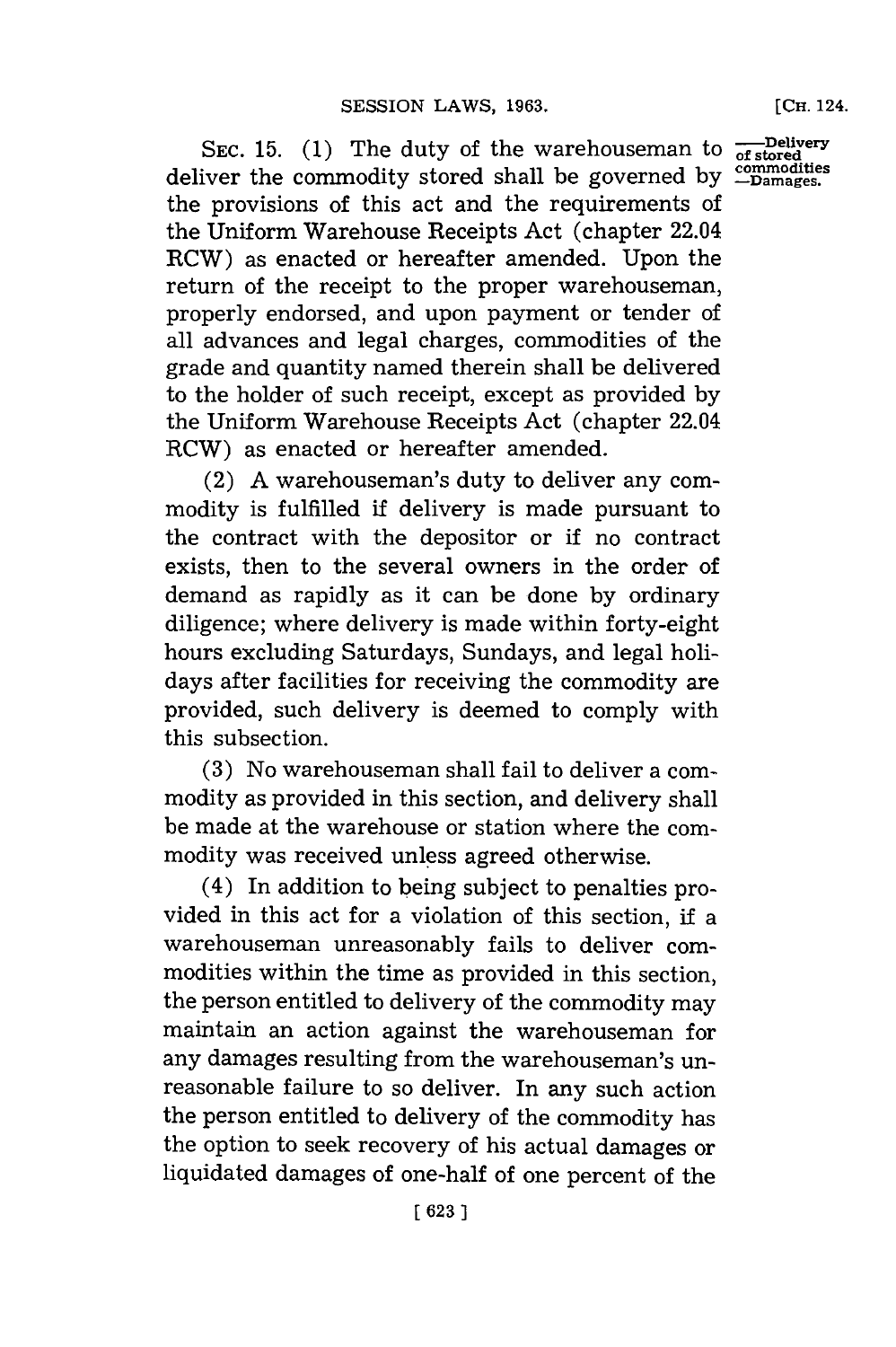**SEC. 15. (1)** The duty of the warehouseman to deliver the commodity stored shall be governed **by** the provisions of this act and the requirements of the Uniform Warehouse Receipts Act (chapter 22.04 RCW) as enacted or hereafter amended. Upon the return of the receipt to the proper warehouseman, properly endorsed, and upon payment or tender of all advances and legal charges, commodities of the grade and quantity named therein shall be delivered to the holder of such receipt, except as provided **by** the Uniform Warehouse Receipts Act (chapter 22.04 RCW) as enacted or hereafter amended.

(2) **A** warehouseman's duty to deliver any commodity is fulfilled if delivery is made pursuant to the contract with the depositor or if no contract exists, then to the several owners in the order of demand as rapidly as it can be done **by** ordinary diligence; where delivery is made within forty-eight hours excluding Saturdays, Sundays, and legal holidays after facilities for receiving the commodity are provided, such delivery is deemed to comply with this subsection.

**(3)** No warehouseman shall fail to deliver a **com**modity as provided in this section, and delivery shall be made at the warehouse or station where the commodity was received unless agreed otherwise.

(4) In addition to being subject to penalties provided in this act for a violation of this section, if a warehouseman unreasonably fails to deliver commodities within the time as provided in this section, the person entitled to delivery of the commodity may maintain an action against the warehouseman for any damages resulting from the warehouseman's unreasonable failure to so deliver. In any such action the person entitled to delivery of the commodity has the option to seek recovery of his actual damages or liquidated damages of one-half of one percent of the

**-Delivery of stored commodities -Damages.**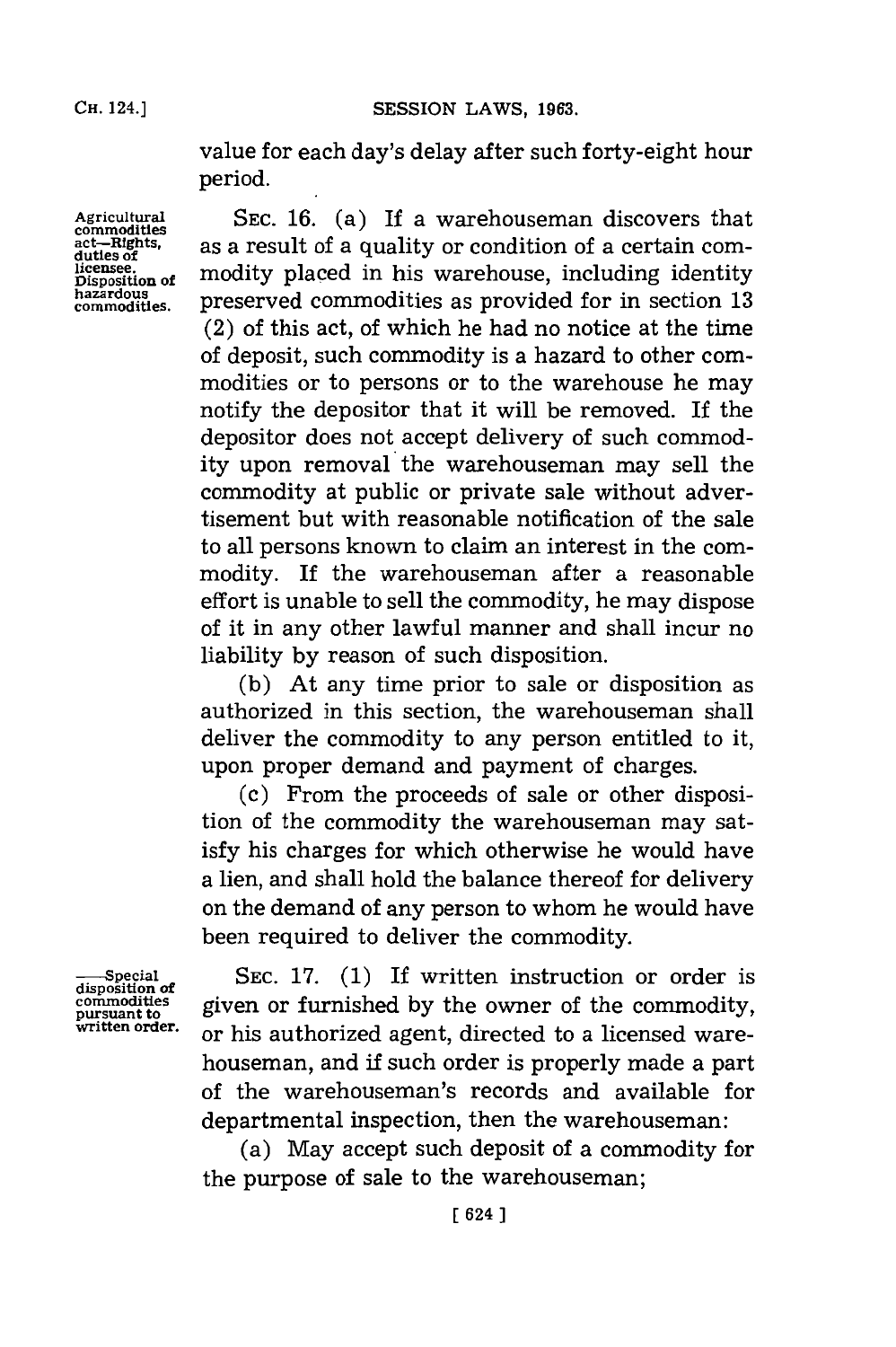**CH. 24.3SESSION LAWS, 1963.**

value for each day's delay after such forty-eight hour period.

Agricultural SEC. 16. (a) If a warehouseman discovers that  $\text{act-mights}$  as a result of a quality or condition of a certain com-**Existence**.<br> **Disposition of** modity placed in his warehouse, including identity hazardous<br>
commodities. preserved commodities as provided for in section 13 preserved commodities as provided for in section 13 (2) of this act, of which he had no notice at the time of deposit, such commodity is a hazard to other commodities or to persons or to the warehouse he may notify the depositor that it will be removed. If the depositor does not accept delivery of such commodity upon removal the warehouseman may sell the commodity at public or private sale without advertisement but with reasonable notification of the sale to all persons known to claim an interest in the commodity. **If** the warehouseman after a reasonable effort is unable to sell the commodity, he may dispose of it in any other lawful manner and shall incur no liability **by** reason of such disposition.

> **(b)** At any time prior to sale or disposition as authorized in this section, the warehouseman shall deliver the commodity to any person entitled to it, upon proper demand and payment of charges.

> (c) From the proceeds of sale or other disposition of the commodity the warehouseman may satisfy his charges for which otherwise he would have a lien, and shall hold the balance thereof for delivery on the demand of any person to whom he would have been required to deliver the commodity.

**disposition of**

SEC. 17. (1) If written instruction or order is commodities given or furnished by the owner of the commodity, written order. or his authorized agent, directed to a licensed warehouseman, and **if** such order is properly made a part of the warehouseman's records and available for departmental inspection, then the warehouseman:

> (a) May accept such deposit of a commodity for the purpose of sale to the warehouseman;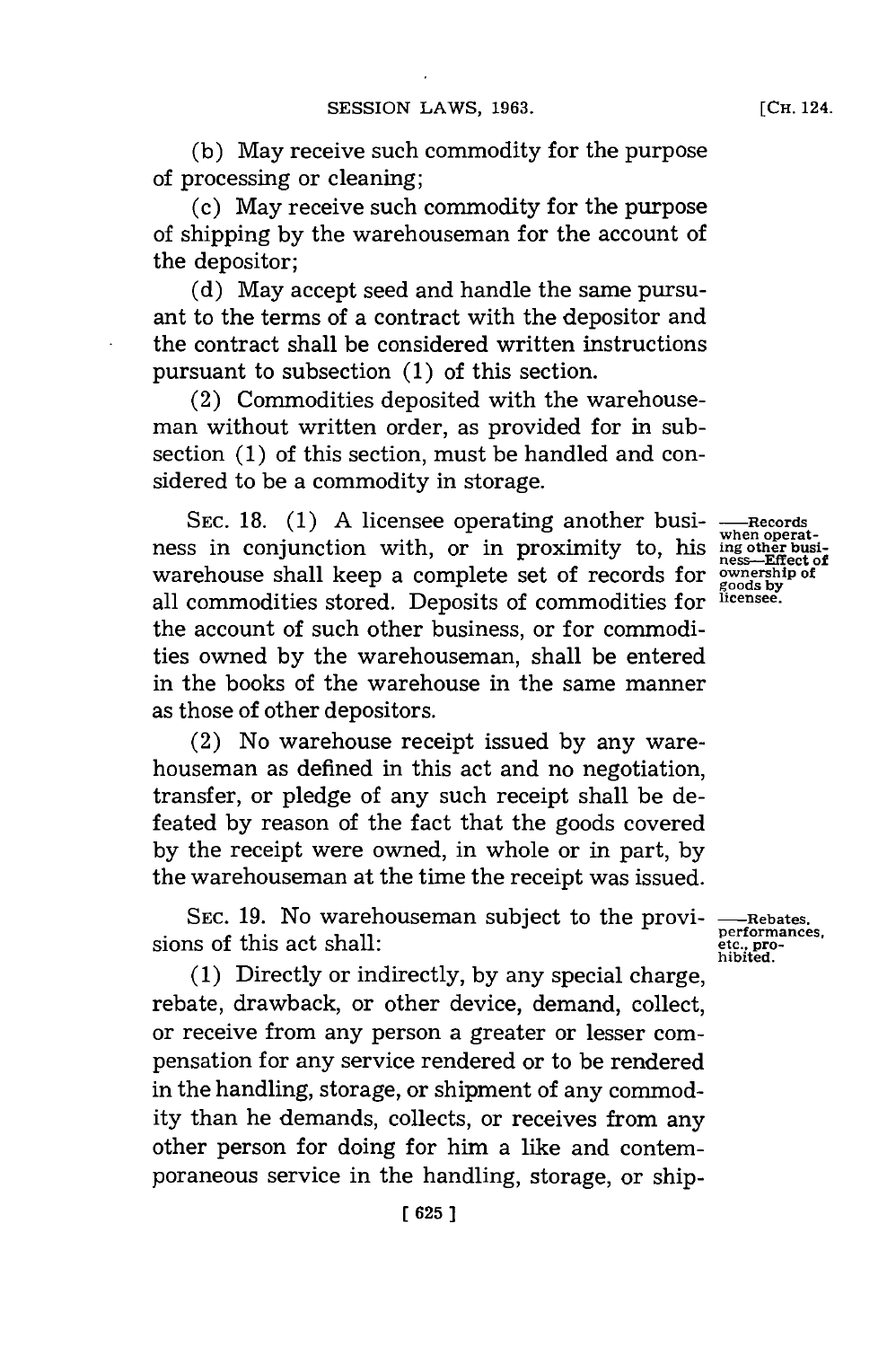**(b)** May receive such commodity for the purpose of processing or cleaning;

(c) May receive such commodity for the purpose of shipping **by** the warehousemnan for the account of the depositor;

**(d)** May accept seed and handle the same pursuant to the terms of a contract with the depositor and the contract shall be considered written instructions pursuant to subsection **(1)** of this section.

(2) Commodities deposited with the warehouseman without written order, as provided for in subsection **(1)** of this section, must be handled and considered to be a commodity in storage.

**SEC. 18. (1) A** licensee operating another business in conjunction with, or in proximity to, his warehouse shall keep a complete set of records for all commodities stored. Deposits of commodities for the account of such other business, or for commodities owned **by** the warehouseman, shall be entered in the books of the warehouse in the same manner as those of other depositors.

(2) No warehouse receipt issued **by** any warehouseman as defined in this act and no negotiation, transfer, or pledge of any such receipt shall be defeated **by** reason of the fact that the goods covered **by** the receipt were owned, in whole or in part, **by** the warehouseman at the time the receipt was issued.

**SEC. 19.** No warehouseman subject to the provisions of this act shall:

**(1)** Directly or indirectly, **by** any special charge, rebate, drawback, or other device, demand, collect, or receive from any person a greater or lesser compensation **for** any service rendered or to be rendered in the handling, storage, or shipment of any commodity than he demands, collects, or receives from any other person for doing for him a like and contemporaneous service in the handling, storage, or ship-

**-Records when operat- ing other business-Effect of ownership of goods by licensee.**

**-Rebates. performances, etc., pro- hibited.**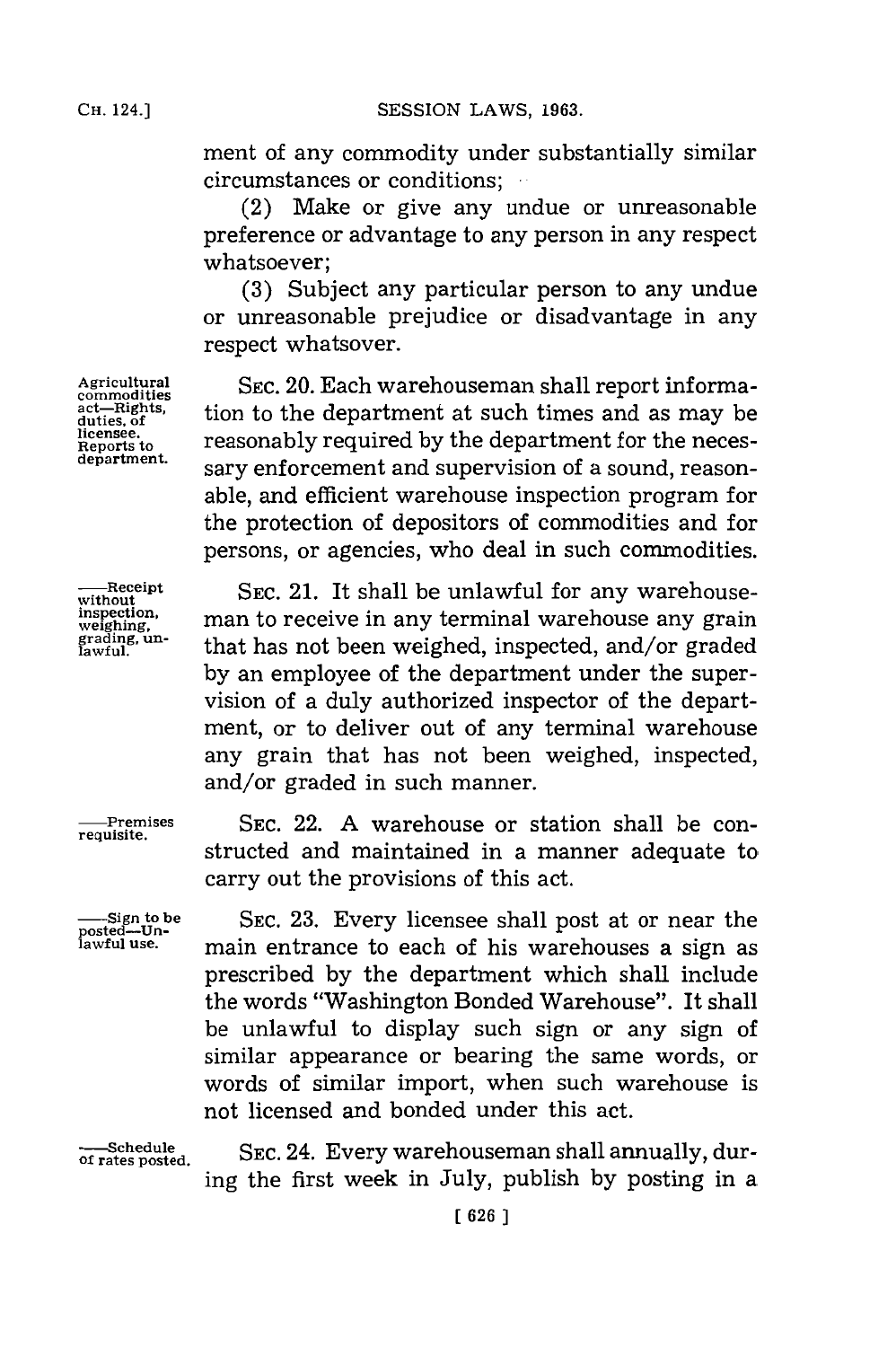**Cii. 24.]SESSION** LAWS, **1963.**

ment of any commodity under substantially similar circumstances or conditions;

(2) Make or give any undue or unreasonable preference or advantage to any person in any respect whatsoever;

**(3)** Subject any particular person to any undue or unreasonable prejudice or disadvantage in any respect whatsover.

Agricultural SEC. 20. Each warehouseman shall report informaact—Rights, tion to the department at such times and as may be ditiense. licensee. *reasonably required by the department for the neces***department.** sary enforcement and supervision of a sound, reasonable, and efficient warehouse inspection program for the protection of depositors of commodities and for persons, or agencies, who deal in such commodities.

**---Receipt** SEC. 21. It shall be unlawful for any warehouseman to receive in any terminal warehouse any grain **gadiun-** that has not been weighed, inspected, and/or graded **by** an employee of the department under the supervision of a duly authorized inspector of the department, or to deliver out of any terminal warehouse any grain that has not been weighed, inspected, and/or graded in such manner.

**-remises** SEC. 22. **A** warehouse or station shall be constructed and maintained in a manner adequate to carry out the provisions of this act.

> SEC. **23.** Every licensee shall post at or near the main entrance to each of his warehouses a sign as prescribed **by** the department which shall include the words "Washington Bonded Warehouse". It shall be unlawful to display such sign or any sign of similar appearance or bearing the same words, or words of similar import, when such warehouse is not licensed and bonded under this act.

**-- Schedule of rates posted.**

**SEC.** 24. Every warehouseman shall annually, during the first week in July, publish **by** posting in a

act-Rights,<br>duties, of

whilout<br>inspection,<br>weighing,<br>grading, un-<br>lawful.

**requisite.**

**-Sign to be posted-Unlawful use.**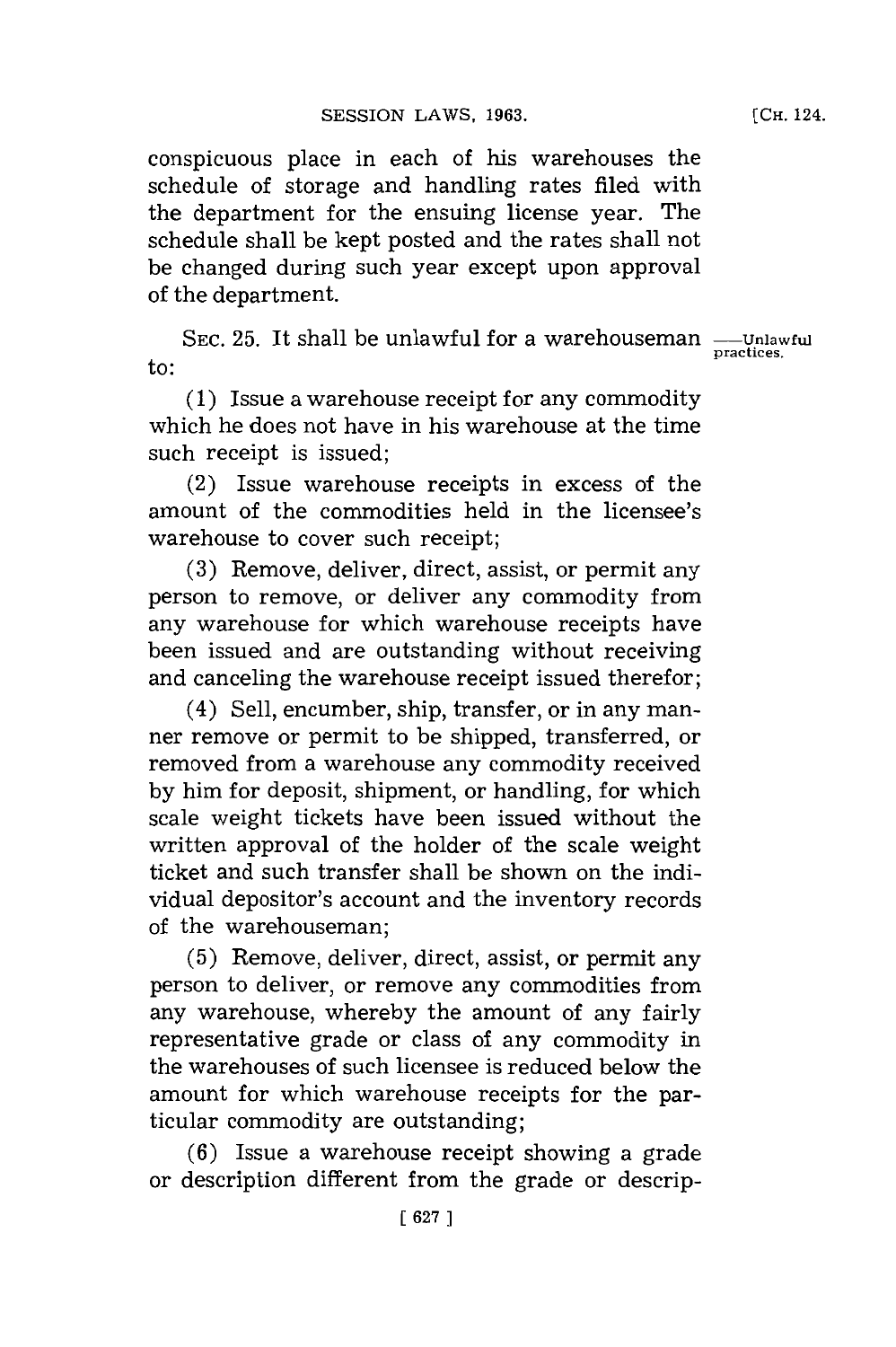conspicuous place in each of his warehouses the schedule of storage and handling rates filed with the department for the ensuing license year. The schedule shall be kept posted and the rates shall not be changed during such year except upon approval of the department.

SEC. 25. It shall be unlawful for a warehouseman - Unlaw practices<sub>practic</sub> to: **product**  $\theta$  **practices**  $\mathbf{to}$ :

**(1)** Issue a warehouse receipt for any commodity which he does not have in his warehouse at the time such receipt is issued;

(2) Issue warehouse receipts in excess of the amount of the commodities held in the licensee's warehouse to cover such receipt;

**(3)** Remove, deliver, direct, assist, or permit any person to remove, or deliver any commodity from any warehouse for which warehouse receipts have been issued and are outstanding without receiving and canceling the warehouse receipt issued therefor;

(4) Sell, encumber, ship, transfer, or in any manner remove or permit to be shipped, transferred, or removed from a warehouse any commodity received **by** him for deposit, shipment, or handling, **for** which scale weight tickets have been issued without the written approval of the holder of the scale weight ticket and such transfer shall be shown on the individual depositor's account and the inventory records of the warehouseman;

**(5)** Remove, deliver, direct, assist, or permit any person to deliver, or remove any commodities from any warehouse, whereby the amount of any fairly representative grade or class of any commodity in the warehouses of such licensee is reduced below the amount for which warehouse receipts for the particular commodity are outstanding;

**(6)** Issue a warehouse receipt showing a grade or description different from the grade or descrip-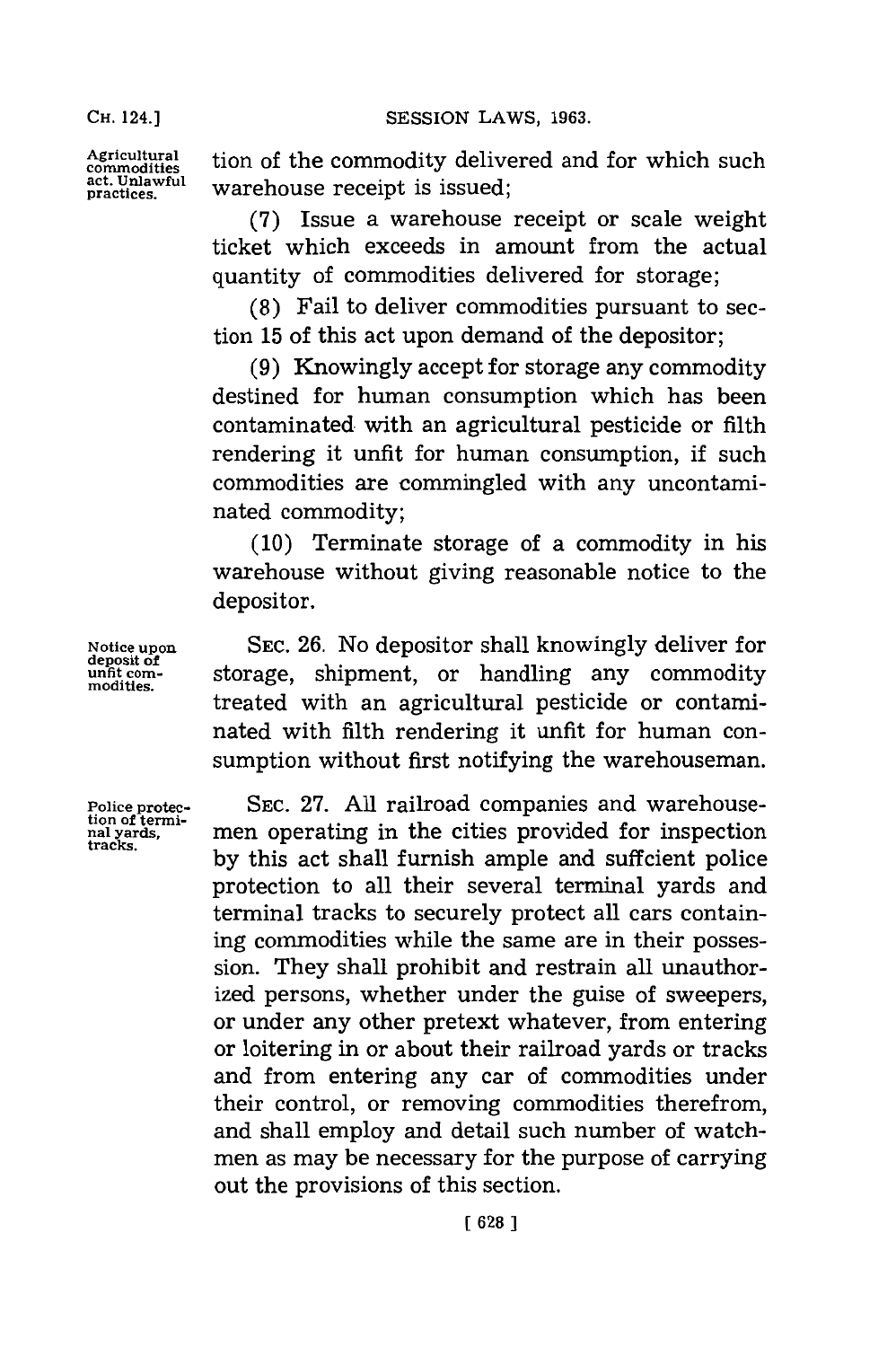**Agricutural** tion of the commodity delivered and for which such act. Unlawful warehouse receipt is issued;

> **(7)** Issue a warehouse receipt or scale weight ticket which exceeds in amount from the actual quantity of commodities delivered for storage;

> **(8)** Fail to deliver commodities pursuant to section **15** of this act upon demand of the depositor;

> **(9)** Knowingly accept for storage any commodity destined for human consumption which has been contaminated, with an agricultural pesticide or filth rendering it unfit for human consumption, if such commodities are commingled with any uncontaminated commodity;

> **(10)** Terminate storage of a commodity in his warehouse without giving reasonable notice to the depositor.

Notice upon **SEC. 26.** No depositor shall knowingly deliver for unfit com-<br>modities. **Subset is storage, shipment**, or handling any commodity treated with an agricultural pesticide or contaminated with filth rendering it unfit for human consumption without first notifying the warehouseman.

**Police protec- SEC. 27. All** railroad companies and warehousemen operating in the cities provided for inspection by this act shall furnish ample and suffcient police protection to all their several terminal yards and terminal tracks to securely protect all cars containing commodities while the same are in their possession. They shall prohibit and restrain all unauthorized persons, whether under the guise of sweepers, or under any other pretext whatever, from entering or loitering in or about their railroad yards or tracks and from entering any car of commodities under their control, or removing commodities therefrom, and shall employ and detail such number of watchmen as may be necessary for the purpose of carrying out the provisions of this section.

**deposit of**

tion of termi-<br>nal yards,<br>tracks.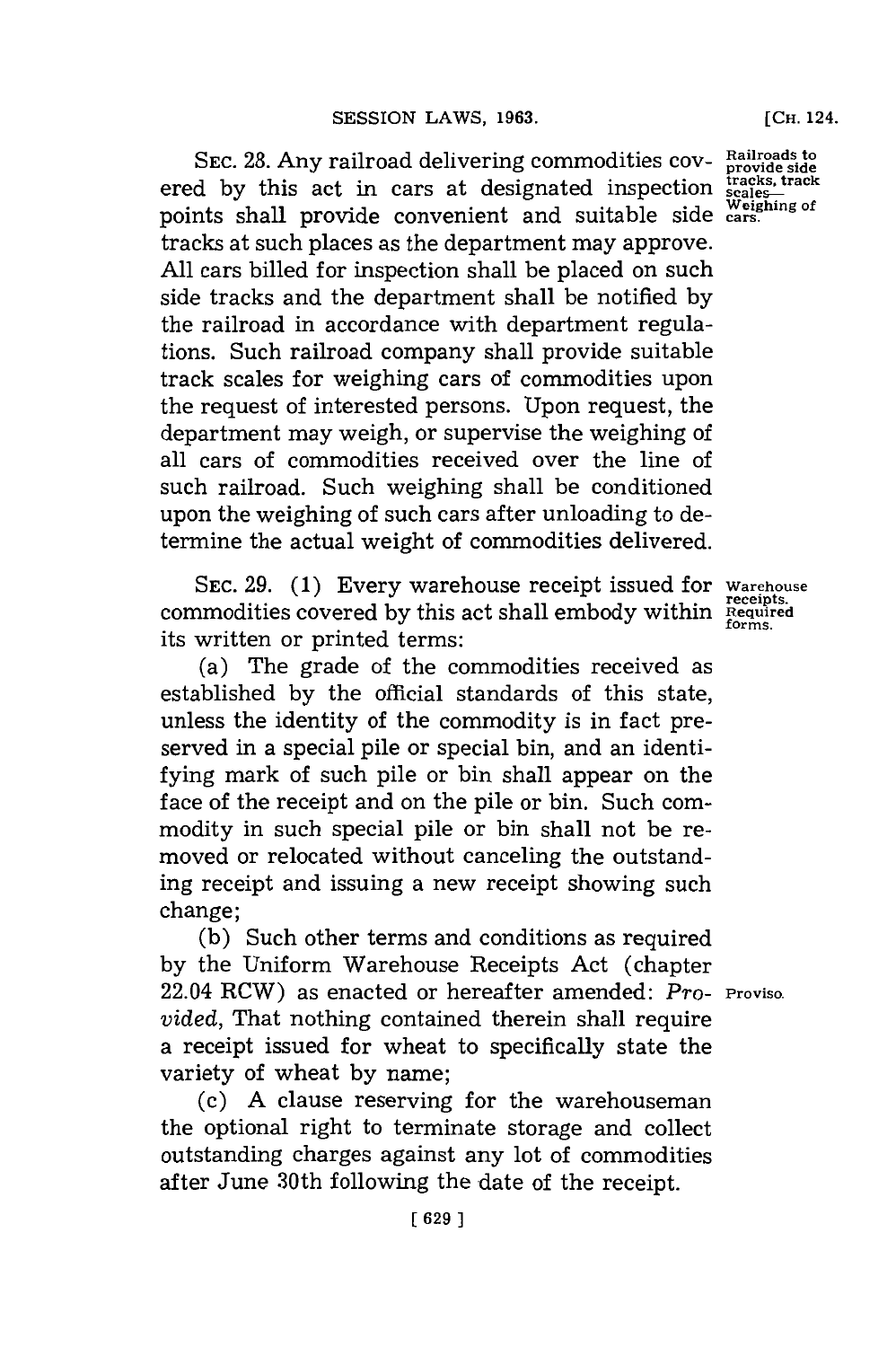SEC. 28. Any railroad delivering commodities cov-<br>
revide side in cars, at designated inspection irrects, track ered by this act in cars at designated inspection **scales-**<br>mainta skall unperior accompanion and witchlowing verified points shall provide convenient and suitable side cars. tracks at such places as the department may approve. **All** cars billed for inspection shall be placed on such side tracks and the department shall be notified **by** the railroad in accordance with department regulations. Such railroad company shall provide suitable track scales for weighing cars of commodities upon the request of interested persons. Upon request, the department may weigh, or supervise the weighing of all cars of commodities received over the line of such railroad. Such weighing shall be conditioned upon the weighing of such cars after unloading to determine the actual weight of commodities delivered.

SEC. **29. (1)** Every warehouse receipt issued for **Warehouse commodities covered by this act shall embody within** *Required***<br>
commodities covered by this act shall embody within** *Required* its written or printed terms:

(a) The grade of the commodities received as established **by** the official standards of this state, unless the identity of the commodity is in fact preserved in a special pile or special bin, and an identifying mark of such pile or bin shall appear on the face of the receipt and on the pile or bin. Such commodity in such special pile or bin shall not be removed or relocated without canceling the outstanding receipt and issuing a new receipt showing such change;

**(b)** Such other terms and conditions as required **by** the Uniform Warehouse Receipts Act (chapter 22.04 RCW) as enacted or hereafter amended: *Pro-* **Proviso.** *vided,* That nothing contained therein shall require a receipt issued for wheat to specifically state the variety of wheat **by** name;

(c) **A** clause reserving for the warehouseman the optional right to terminate storage and collect outstanding charges against any lot of commodities after June 30th following the date of the receipt.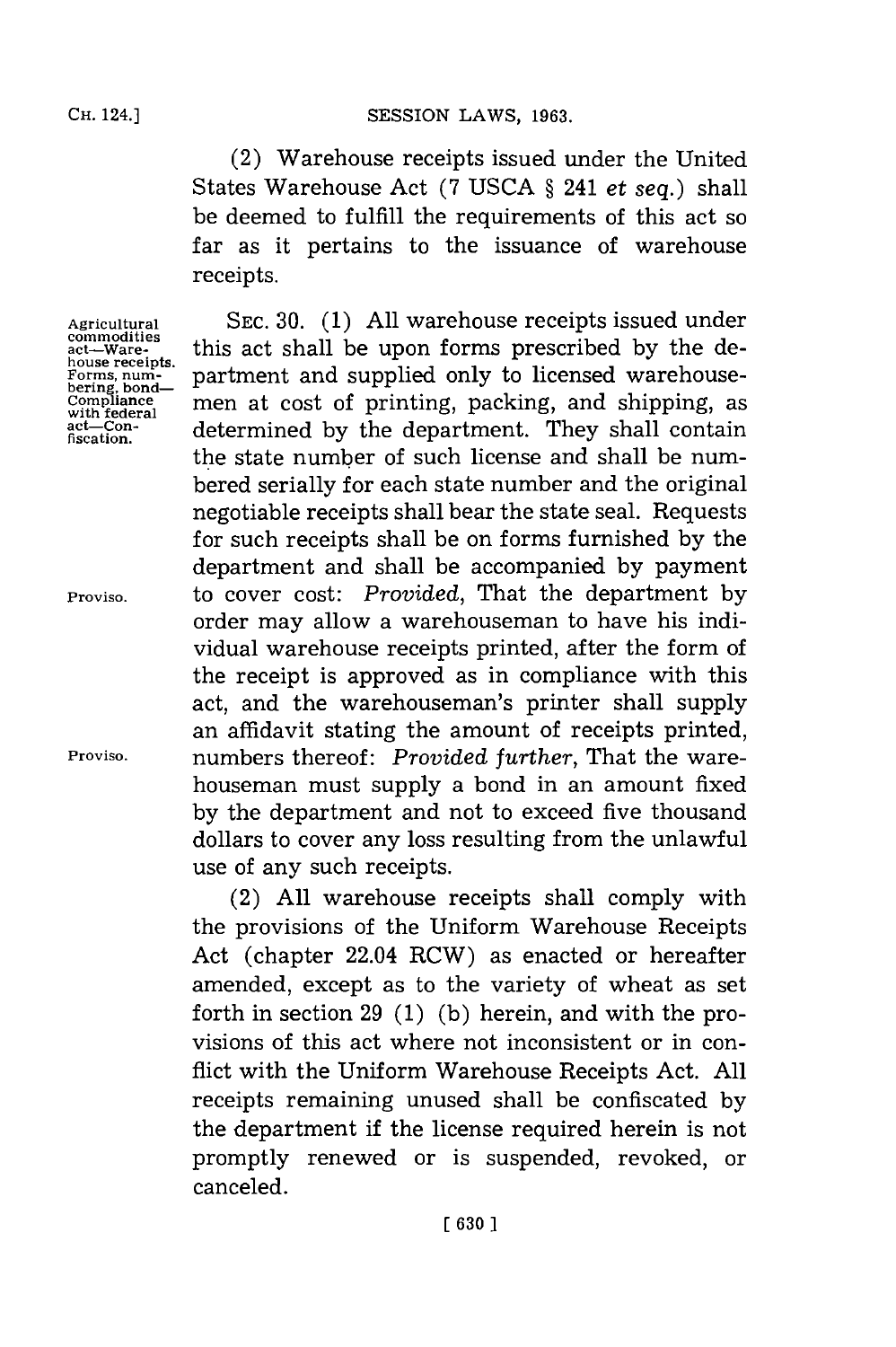(2) Warehouse receipts issued under the United States Warehouse Act **(7 USCA §** 241 *et seq.)* shall be deemed to fulfill the requirements of this act so far as it pertains to the issuance of warehouse receipts.

**Agricultural commodities act-Warehouse receipts. Forms, num- bering, bond-Compliance with federal act-Confiscation.**

**Proviso.**

**Proviso.**

**SEC. 30. (1) All** warehouse receipts issued under this act shall be upon forms prescribed **by** the department and supplied only to licensed warehousemen at cost of printing, packing, and shipping, as determined **by** the department. They shall contain the state number of such license and shall be numbered serially for each state number and the original negotiable receipts shall bear the state seal. Requests for such receipts shall be on forms furnished **by** the department and shall be accompanied **by** payment to cover cost: *Provided,* That the department **by** order may allow a warehouseman to have his individual warehouse receipts printed, after the form of the receipt is approved as in compliance with this act, and the warehouseman's printer shall supply an affidavit stating the amount of receipts printed, numbers thereof: *Provided further,* That the warehouseman must supply a bond in an amount fixed **by** the department and not to exceed five thousand dollars to cover any loss resulting from the unlawful use of any such receipts.

(2) **All** warehouse receipts shall comply with the provisions of the Uniform Warehouse Receipts Act (chapter 22.04 RCW) as enacted or hereafter amended, except as to the variety of wheat as set forth in section **29 (1) (b)** herein, and with the provisions of this act where not inconsistent or in conflict with the Uniform Warehouse Receipts Act. **All** receipts remaining unused shall be confiscated **by** the department if the license required herein is not promptly renewed or is suspended, revoked, or canceled.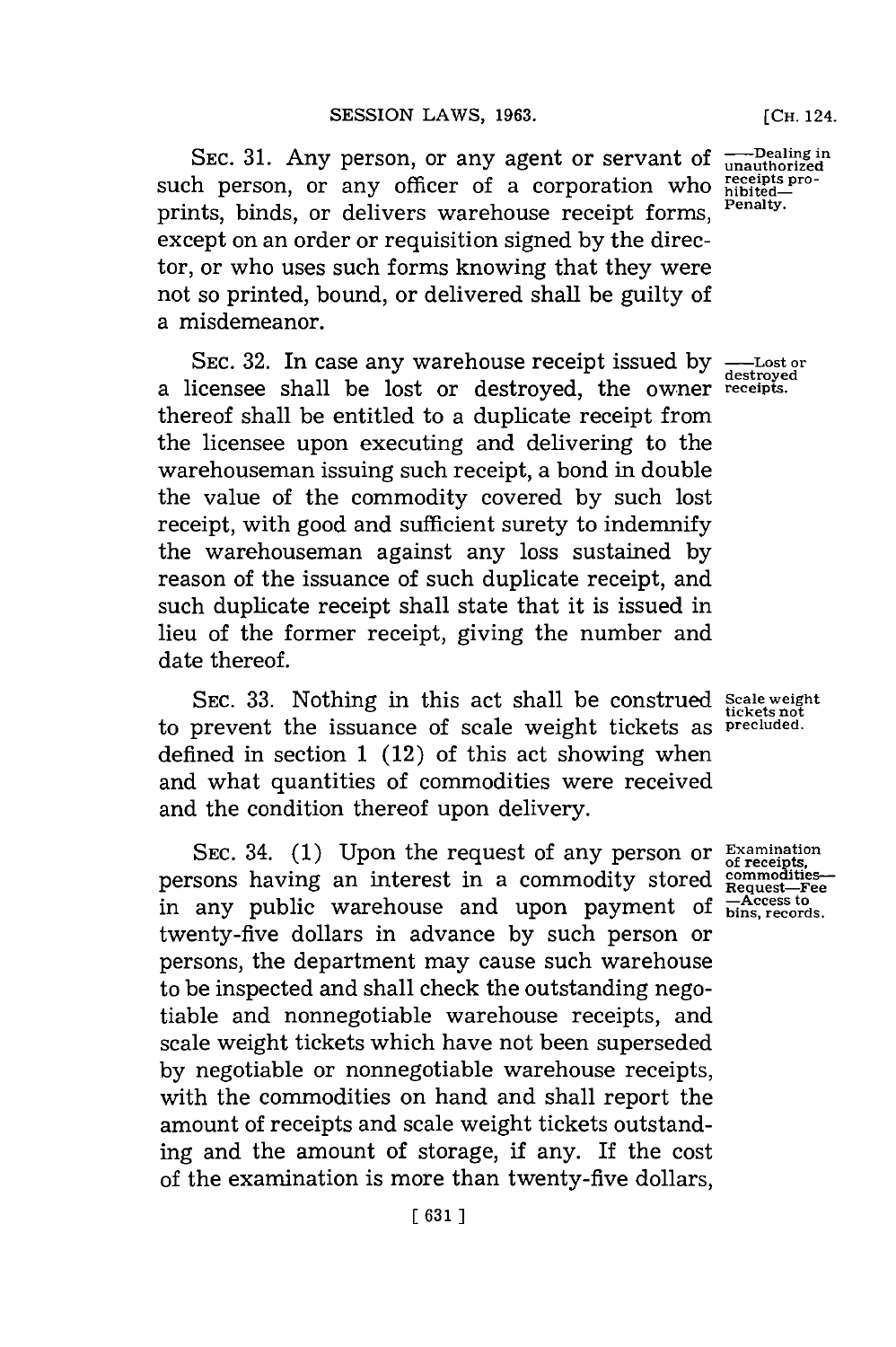**SEC. 31.** Any person, or any agent or servant of such person, or any officer of a corporation who prints, binds, or delivers warehouse receipt forms, except on an order or requisition signed **by** the director, or who uses such forms knowing that they were not so printed, bound, or delivered shall be guilty of a misdemeanor.

SEC. 32. In case any warehouse receipt issued by  $\frac{1}{\text{destroyed}}$ a licensee shall be lost or destroyed, the Owner **receipts.** thereof shall be entitled to a duplicate receipt from the licensee upon executing and delivering to the warehouseman issuing such receipt, a bond in double the value of the commodity covered **by** such lost receipt, with good and sufficient surety to indemnify the warehouseman against any loss sustained **by** reason of the issuance of such duplicate receipt, and such duplicate receipt shall state that it is issued in lieu of the former receipt, giving the number and date thereof.

SEC. **33.** Nothing in this act shall be construed **Scale weight tickets not** to prevent the issuance of scale weight tickets as **precluded.** defined in section **1** (12) of this act showing when and what quantities of commodities were received and the condition thereof upon delivery.

SEC. 34. (1) Upon the request of any person or Examination persons having an interest in a commodity stored in any public warehouse and upon payment of **Helicans** to twenty-five dollars in advance **by** such person or persons, the department may cause such warehouse to be inspected and shall check the outstanding negotiable and nonnegotiable warehouse receipts, and scale weight tickets which have not been superseded **by** negotiable or nonnegotiable warehouse receipts, with the commodities on hand and shall report the amount of receipts and scale weight tickets outstanding and the amount of storage, **if** any. If the cost of the examination is more than twenty-five dollars,

**-Dealing in unauthorized receipts pro- hibited-Penalty.**

**of receipts, commodities-Request-Fee**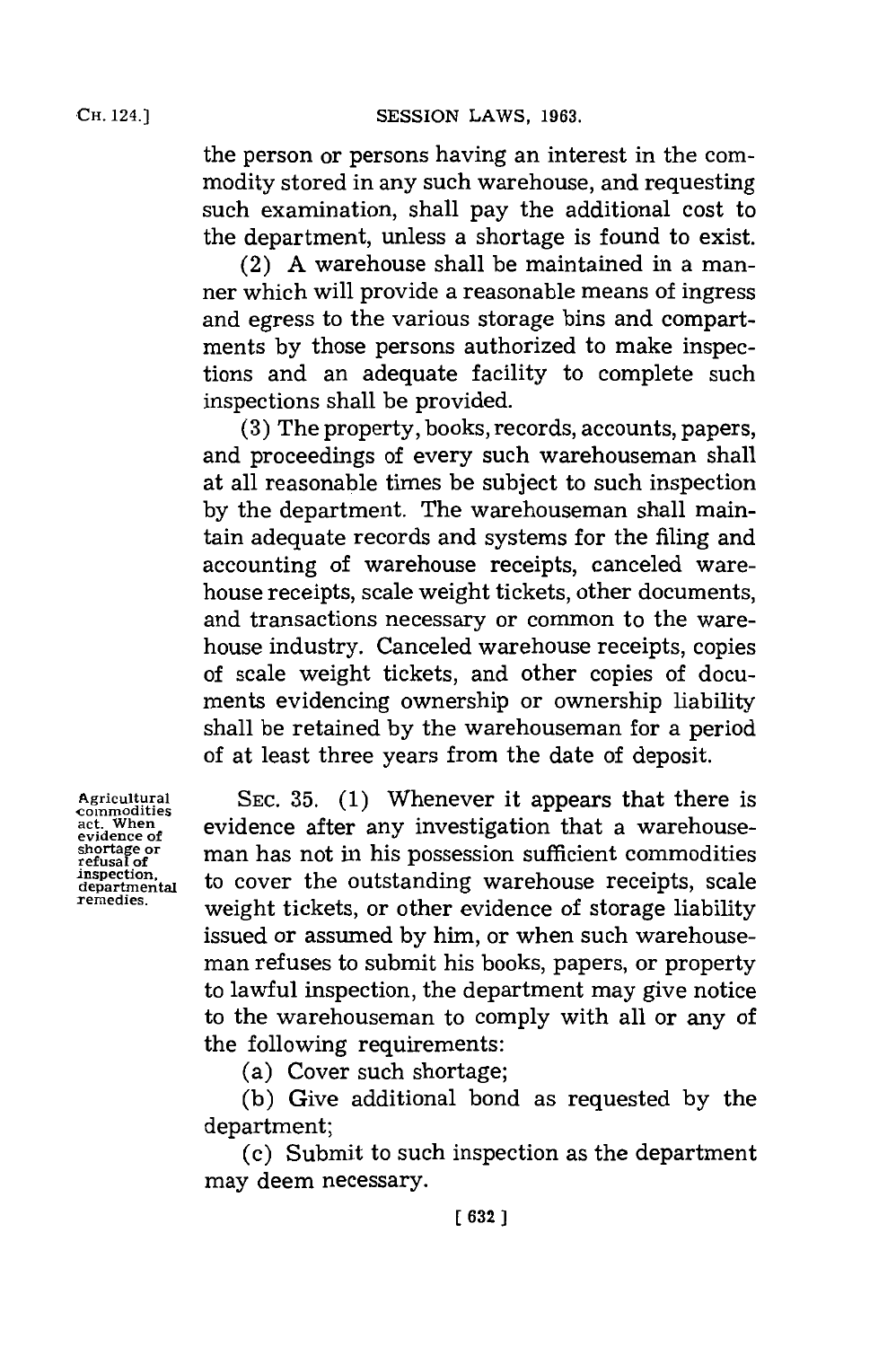the person or persons having an interest in the commodity stored in any such warehouse, and requesting such examination, shall pay the additional cost to the department, unless a shortage is found to exist.

(2) **A** warehouse shall be maintained in a manner which will provide a reasonable means of ingress and egress to the various storage bins and compartments **by** those persons authorized to make inspections and an adequate facility to complete such inspections shall be provided.

**(3)** The property, books, records, accounts, papers, and proceedings of every such warehouseman shall at all reasonable times be subject to such inspection **by** the department. The warehouseman shall maintain adequate records and systems for the filing and accounting of warehouse receipts, canceled warehouse receipts, scale weight tickets, other documents, and transactions necessary or common to the warehouse industry. Canceled warehouse receipts, copies of scale weight tickets, and other copies of documents evidencing ownership or ownership liability shall be retained **by** the warehouseman for a period of at least three years from the date of deposit.

Agricultural SEC. 35. (1) Whenever it appears that there is<br>commodities<br>act. When expidence after any investigation that a warehouse. evidence after any investigation that a warehouse-<br>evidence of<br>refusal of man has not in his possession sufficient commodities **shortage or refusal of refusal of refusal of** *refusal of nspection***, <b>***refusal of p. cover the outstanding warehouse receipts* scale inspection,<br>departmential to cover the outstanding warehouse receipts, scale<br>remedies. **The contract of the contract of the scale of the contract** in the **remedies,** weight tickets, or other evidence of storage liability issued or assumed **by** him, or when such warehouseman refuses to submit his books, papers, or property to lawful inspection, the department may give notice to the warehouseman to comply with all or any of the following requirements:

(a) Cover such shortage;

**(b)** Give additional bond as requested **by** the department;

(c) Submit to such inspection as the department may deem necessary.

**CH.** 124.]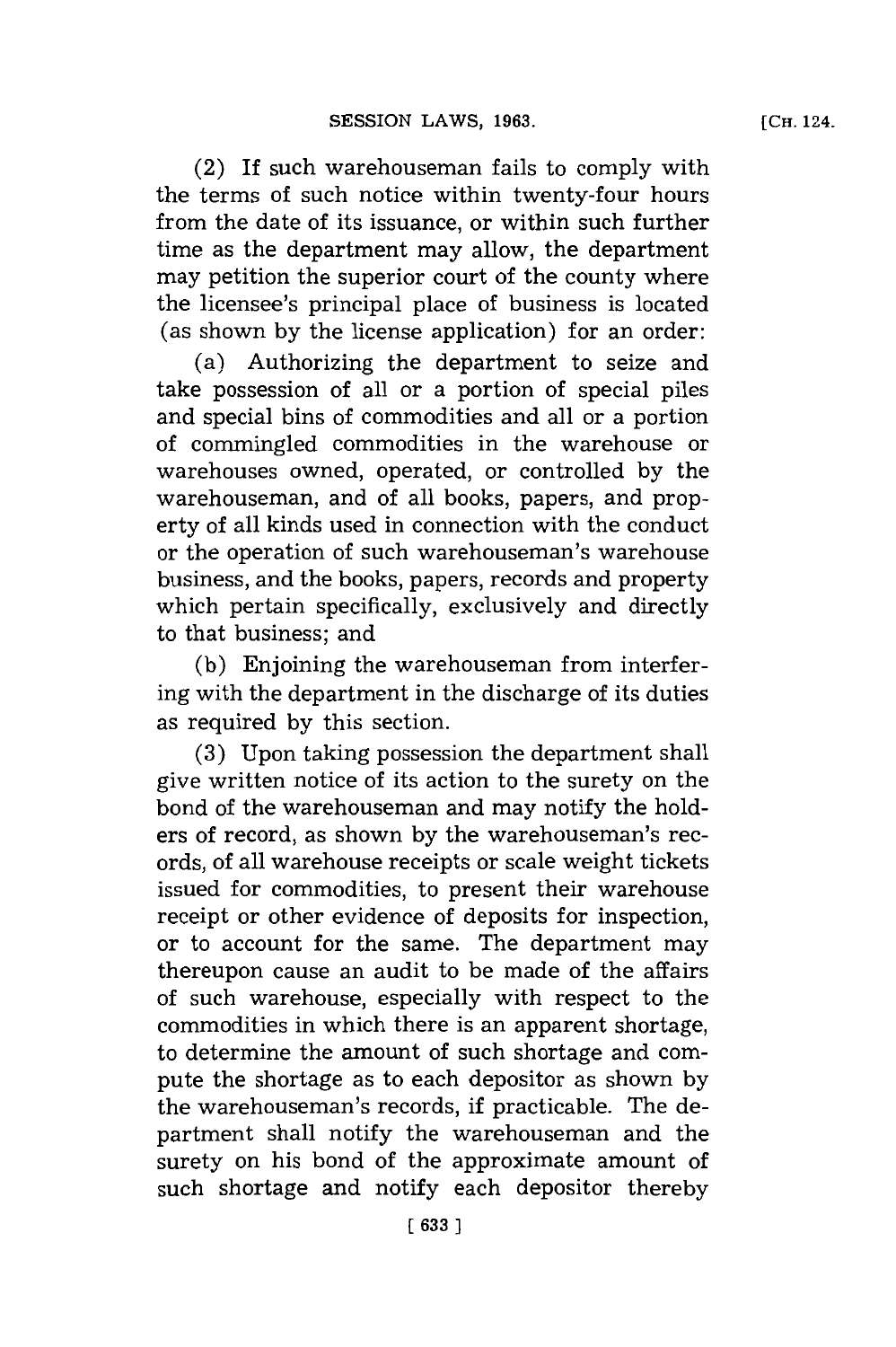(2) **If** such warehouseman fails to comply with the terms of such notice within twenty-four hours from the date of its issuance, or within such further time as the department may allow, the department may petition the superior court of the county where the licensee's principal place of business is located (as shown **by** the license application) for an order:

(a) Authorizing the department to seize and take possession of all or a portion of special piles and special bins of commodities and all or a portion of commingled commodities in the warehouse or warehouses owned, operated, or controlled **by** the warehouseman, and of all books, papers, and property of all kinds used in connection with the conduct or the operation of such warehouseman's warehouse business, and the books, papers, records and property which pertain specifically, exclusively and directly to that business; and

**(b)** Enjoining the warehouseman from interfering with the department in the discharge of its duties as required **by** this section.

**(3)** Upon taking possession the department shall give written notice of its action to the surety on the bond of the warehouseman and may notify the holders of record, as shown **by** the warehouseman's records, of all warehouse receipts or scale weight tickets issued for commodities, to present their warehouse receipt or other evidence of deposits for inspection, or to account for the same. The department may thereupon cause an audit to be made of the affairs of such warehouse, especially with respect to the commodities in which there is an apparent shortage, to determine the amount of such shortage and compute the shortage as to each depositor as shown **by** the warehouseman's records, if practicable. The department shall notify the warehouseman and the surety on his bond of the approximate amount of such shortage and notify each depositor thereby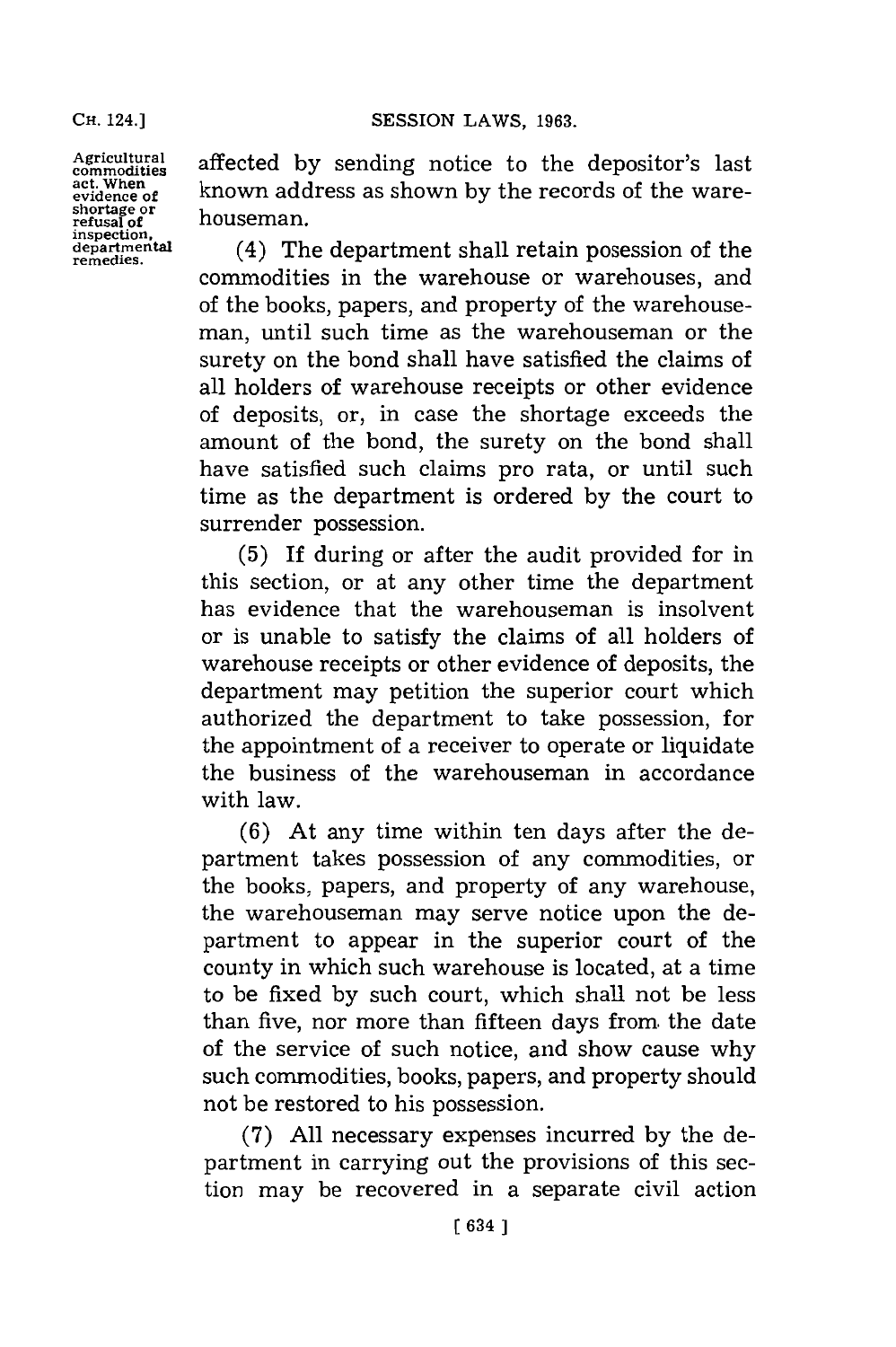**shortage or refusal of** houseman.

Agricultural affected by sending notice to the depositor's last act. When  $\frac{1}{\text{act. When } \text{set}}$  known address as shown by the records of the wareknown address as shown by the records of the ware-

departmental (4) The department shall retain posession of the remedies. commodities in the warehouse or warehouses, and of the books, papers, and property of the warehouseman, until such time as the warehouseman or the surety on the bond shall have satisfied the claims of all holders of warehouse receipts or other evidence of deposits, or, in case the shortage exceeds the amount of the bond, the surety on the bond shall have satisfied such claims pro rata, or until such time as the department is ordered **by** the court to surrender possession.

> **(5)** If during or after the audit provided for in this section, or at any other time the department has evidence that the warehouseman is insolvent or is unable to satisfy the claims of all holders of warehouse receipts or other evidence of deposits, the department may petition the superior court which authorized the department to take possession, for the appointment of a receiver to operate or liquidate the business of the warehouseman in accordance with law.

> **(6)** At any time within ten days after the department takes possession of any commodities, or the books, papers, and property of any warehouse, the warehouseman may serve notice upon the department to appear in the superior court of the county in which such warehouse is located, at a time to be fixed **by** such court, which shall not be less than five, nor more than fifteen days from the date of the service of such notice, and show cause why such commodities, books, papers, and property should not be restored to his possession.

> **(7) All** necessary expenses incurred **by** the department in carrying out the provisions of this section may be recovered in a separate civil action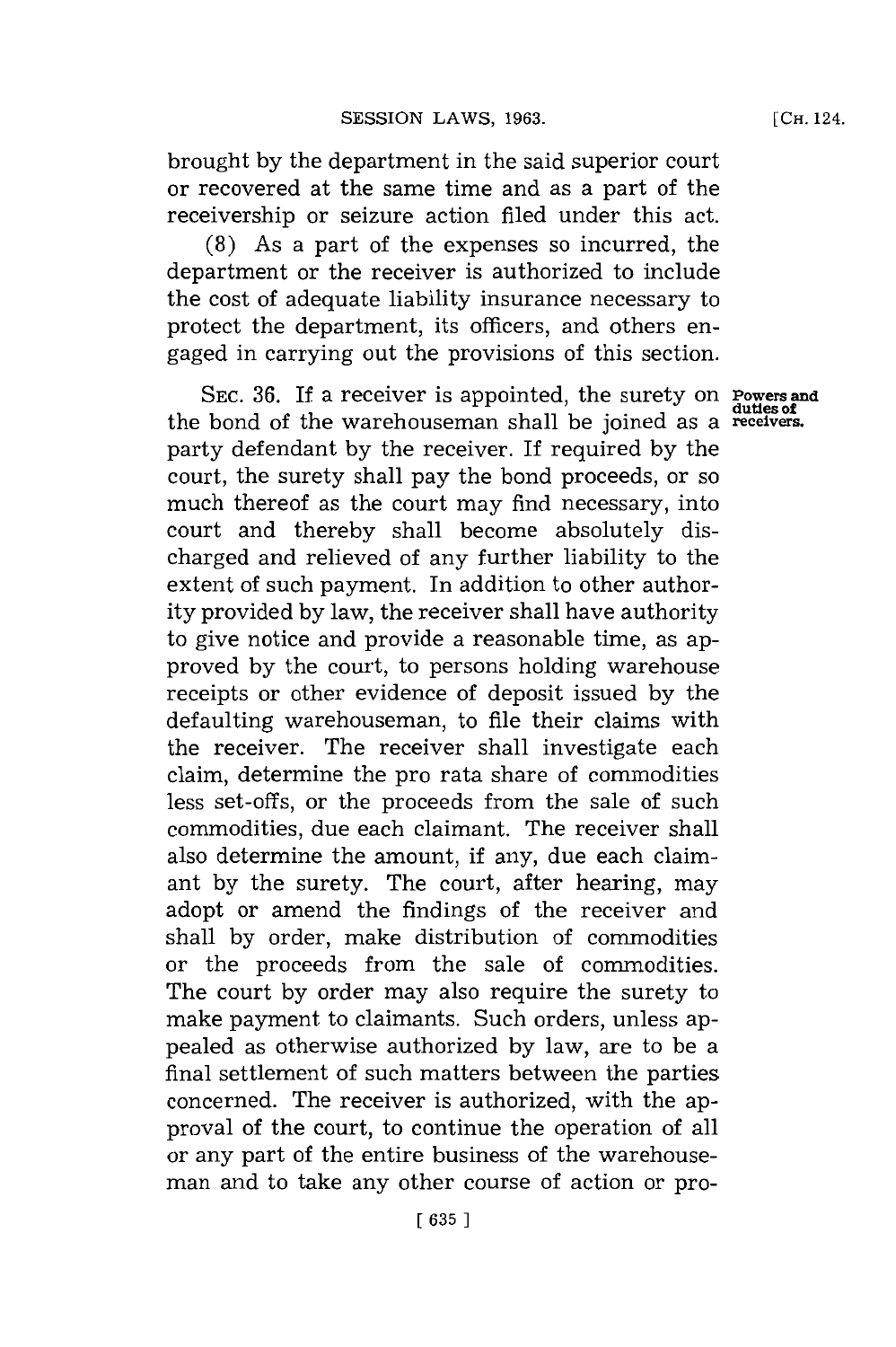brought **by** the department in the said superior court or recovered at the same time and as a part of the receivership or seizure action filed under this act.

**(8)** As a part of the expenses so incurred, the department or the receiver is authorized to include the cost of adequate liability insurance necessary to protect the department, its officers, and others engaged in carrying out the provisions of this section.

**SEC. 36.** If a receiver is appointed, the surety on **Powers and duties Of** the bond of the warehouseman shall be joined as a **receivers.** party defendant **by** the receiver. If required **by** the court, the surety shall pay the bond proceeds, or so much thereof as the court may find necessary, into court and thereby shall become absolutely discharged and relieved of any further liability to the extent of such payment. In addition to other authority provided **by** law, the receiver shall have authority to give notice and provide a reasonable time, as approved **by** the court, to persons holding warehouse receipts or other evidence of deposit issued **by** the defaulting warehouseman, to file their claims with the receiver. The receiver shall investigate each claim, determine the pro rata share of commodities less set-offs, or the proceeds from the sale of such commodities, due each claimant. The receiver shall also determine the amount, if any, due each claimant **by** the surety. The court, after hearing, may adopt or amend the findings of the receiver and shall **by** order, make distribution of commodities or the proceeds from the sale of commodities. The court **by** order may also require the surety to make payment to claimants. Such orders, unless appealed as otherwise authorized **by** law, are to be a final settlement of such matters between the parties concerned. The receiver is authorized, with the approval of the court, to continue the operation of all or any part of the entire business of the warehouseman and to take any other course of action or pro-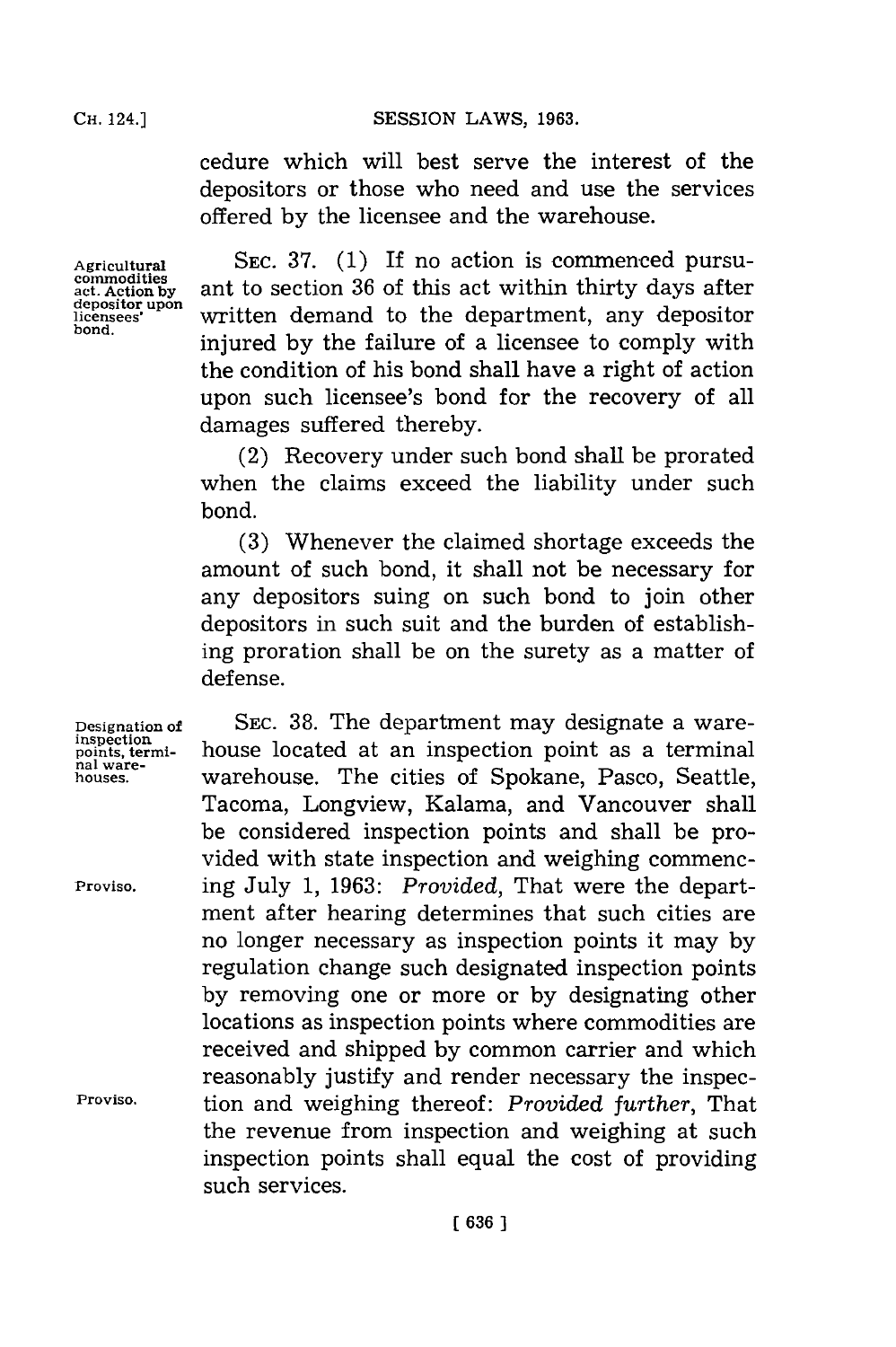cedure which will best serve the interest of the depositors or those who need and use the services offered **by** the licensee and the warehouse.

**Agricultural commodities act. Action by depositor upon licensees' bond.**

**SEC. 37. (1)** If no action is commenced pursuant to section **36** of this act within thirty days after written demand to the department, any depositor injured **by** the failure of a licensee to comply with the condition of his bond shall have a right of action upon such licensee's bond for the recovery of all damages suffered thereby.

(2) Recovery under such bond shall be prorated when the claims exceed the liability under such bond.

**(3)** Whenever the claimed shortage exceeds the amount of such bond, it shall not be necessary for any depositors suing on such bond to join other depositors in such suit and the burden of establishing proration shall be on the surety as a matter of defense.

SEC. 38. The department may designate a warehouse located at an inspection point as a terminal warehouse. The cities of Spokane, Pasco, Seattle, Tacoma, Longview, Kalama, and Vancouver shall be considered inspection points and shall be provided with state inspection and weighing commencing July **1, 1963:** *Provided,* That were the department after hearing determines that such cities are no longer necessary as inspection points it may **by** regulation change such designated inspection points **by** removing one or more or **by** designating other locations as inspection points where commodities are received and shipped **by** common carrier and which reasonably justify and render necessary the inspection and weighing thereof: *Provided further,* That the revenue from inspection and weighing at such inspection points shall equal the cost of providing such services.

**Designation of inspection points, terminal ware- houses.**

**Proviso.**

**Proviso.**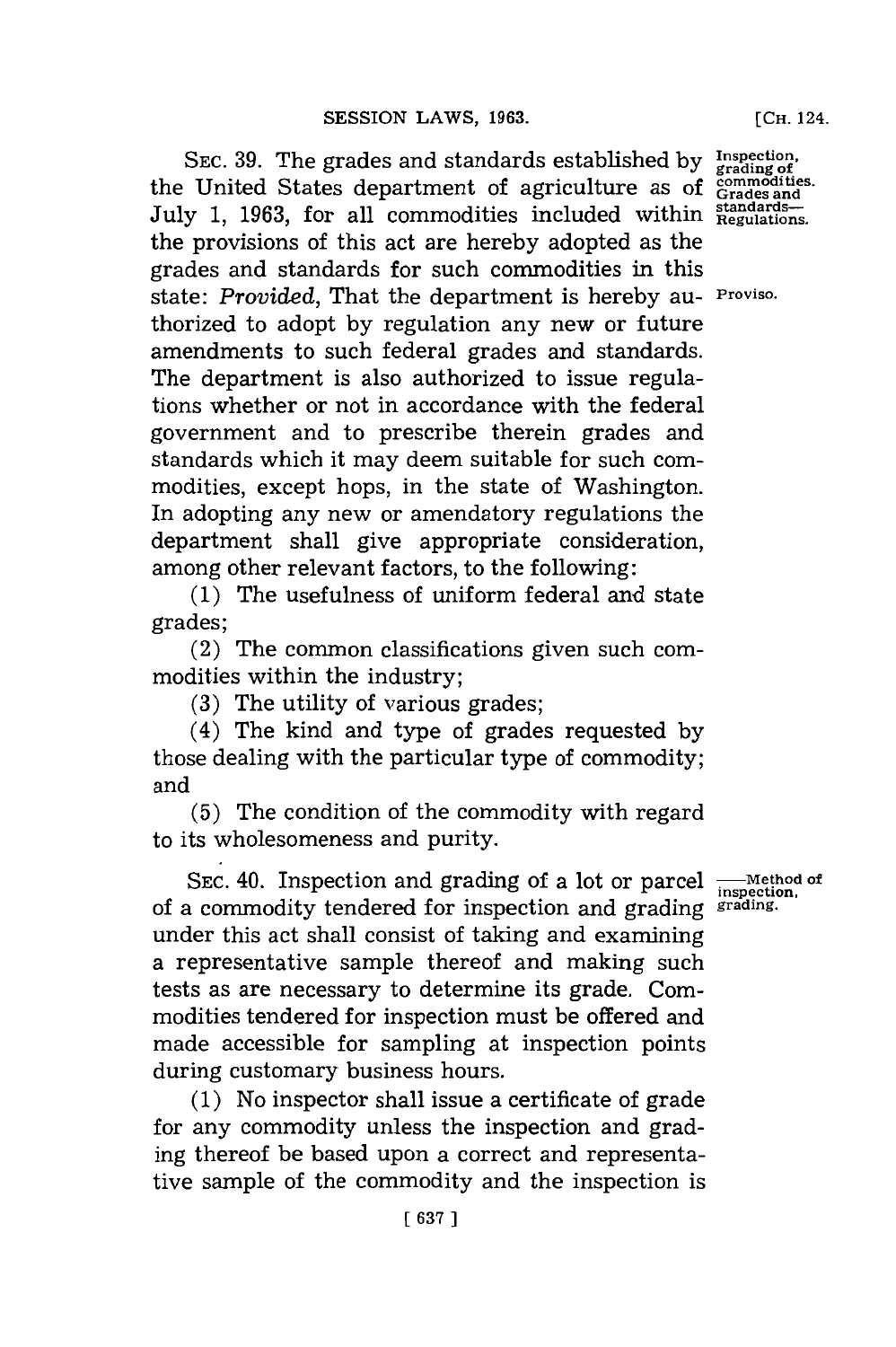SEC. 39. The grades and standards established by Inspection the United States department of agriculture as of **Goodmodition** July 1, 1963, for all commodities included within Regulations. the provisions of this act are hereby adopted as the grades and standards for such commodities in this state: *Provided,* That the department is hereby au- **Proviso.** thorized to adopt **by** regulation any new or future amendments to such federal grades and standards. The department is also authorized to issue regulations whether or not in accordance with the federal government and to prescribe therein grades and standards which it may deem suitable for such commodities, except hops, in the state of Washington. In adopting any new or amendatory regulations the department shall give appropriate consideration, among other relevant factors, to the following:

**(1)** The usefulness of uniform federal and state grades;

(2) The common classifications given such commodities within the industry;

**(3)** The utility of various grades;

(4) The kind and type of grades requested **by** those dealing with the particular type of commodity; and

**(5)** The condition of the commodity with regard to its wholesomeness and purity.

SEC. 40. Inspection and grading of a lot or parcel **-**Method of of a commodity tendered for inspection and grading **grading**under this act shall consist of taking and examining a representative sample thereof and making such tests as are necessary to determine its grade. Commodities tendered for inspection must be offered and made accessible for sampling at inspection points during customary business hours.

**(1)** No inspector shall issue a certificate of grade for any commodity unless the inspection and grading thereof be based upon a correct and representative sample of the commodity and the inspection is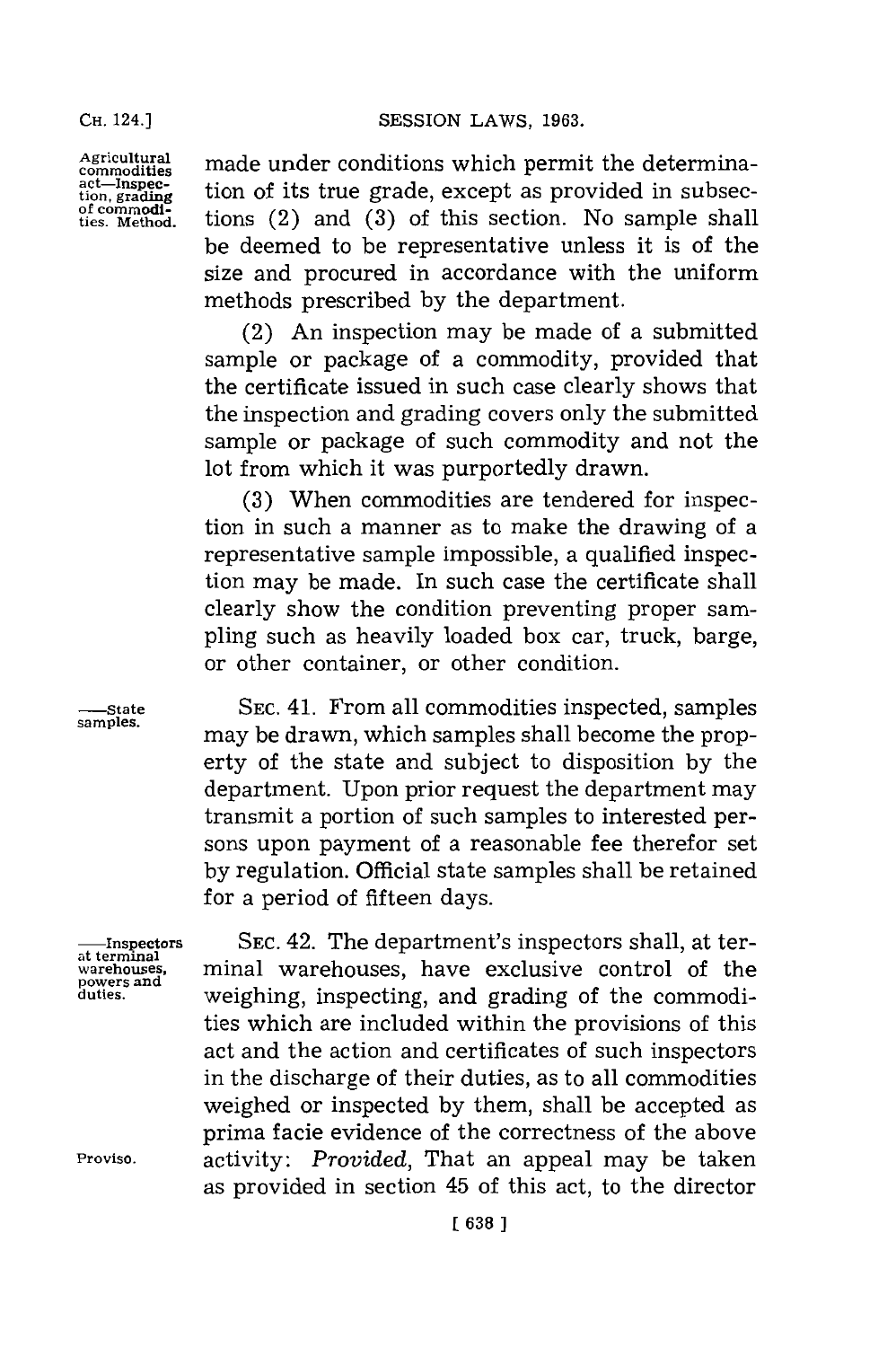**CHi.** 124.] **Agricultural**

**commodities act-Inspection, grading of commodities. Method.** made under conditions which permit the determination of its true grade, except as provided in subsections (2) and **(3)** of this section. No sample shall be deemed to be representative unless it is of the size and procured in accordance with the uniform methods prescribed **by** the department.

(2) An inspection may be made of a submitted sample or package of a commodity, provided that the certificate issued in such case clearly shows that the inspection and grading covers only the submitted sample or package of such commodity and not the lot from which it was purportedly drawn.

**(3)** When commodities are tendered for inspection in such a manner as to make the drawing of a representative sample impossible, a qualified inspection may be made. In such case the certificate shall clearly show the condition preventing proper sampling such as heavily loaded box car, truck, barge, or other container, or other condition.

**SEC.** 41. From all commodities inspected, samples may be drawn, which samples shall become the property of the state and subject to disposition **by** the department. Upon prior request the department may transmit a portion of such samples to interested persons upon payment of a reasonable fee therefor set **by** regulation. Official state samples shall be retained **for** a period of fifteen days.

**SEC.** 42. The department's inspectors shall, at terminal warehouses, have exclusive control of the weighing, inspecting, and grading of the commodities which are included within the provisions of this act and the action and certificates of such inspectors in the discharge of their duties, as to all commodities weighed or inspected **by** them, shall be accepted as prima facie evidence of the correctness of the above activity: *Provided,* That an appeal may be taken as provided in section 45 of this act, to the director

**-State samples.**

**-Inspectors at terminal warehouses, powers and duties.**

**Proviso.**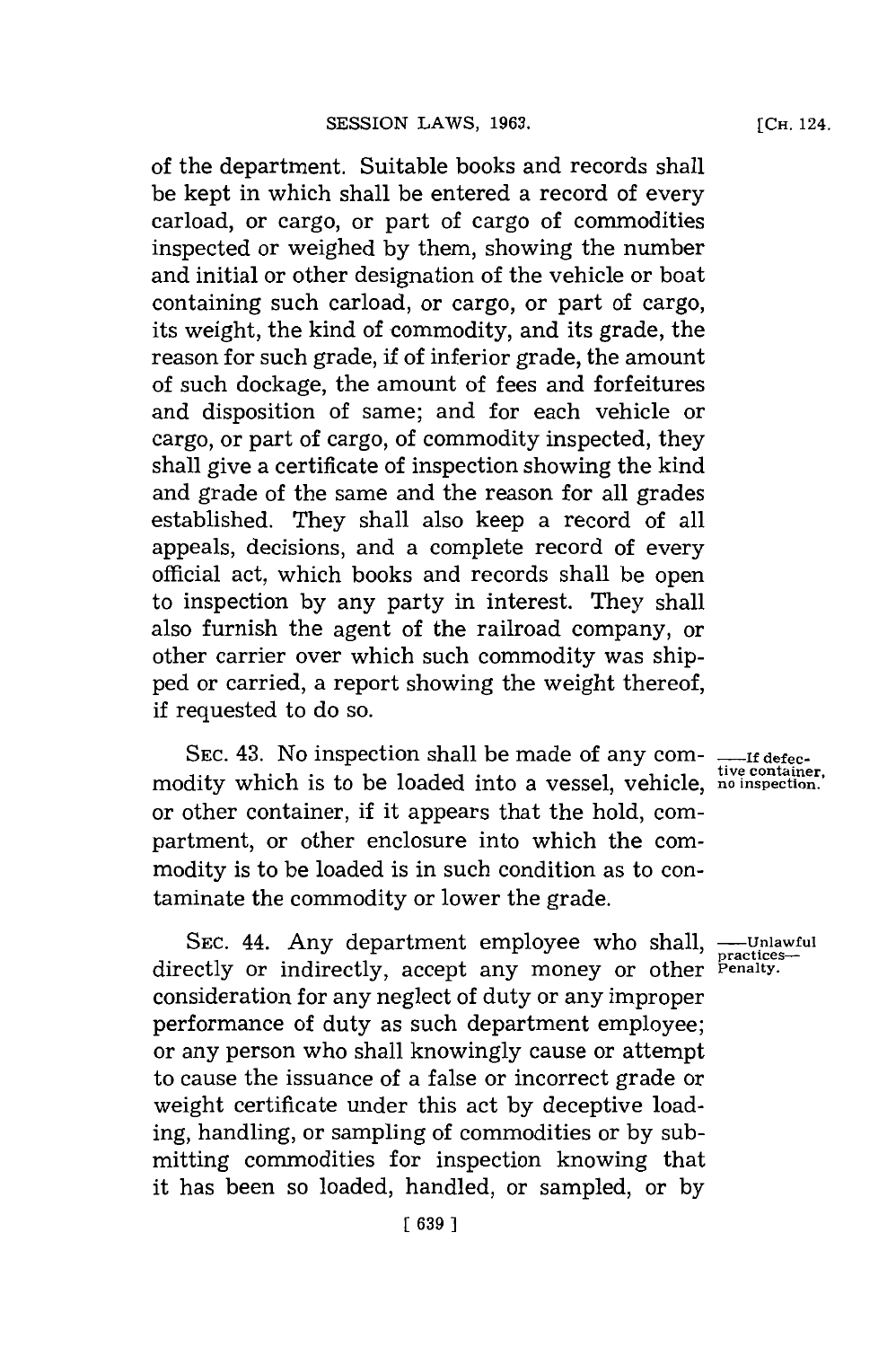of the department. Suitable books and records shall be kept in which shall be entered a record of every carload, or cargo, or part of cargo of commodities inspected or weighed **by** them, showing the number and initial or other designation of the vehicle or boat containing such carload, or cargo, or part of cargo, its weight, the kind of commodity, and its grade, the reason for such grade, if of inferior grade, the amount of such dockage, the amount of fees and forfeitures and disposition of same; and for each vehicle or cargo, or part of cargo, of commodity inspected, they shall give a certificate of inspection showing the kind and grade of the same and the reason **for** all grades established. They shall also keep a record of all appeals, decisions, and a complete record of every official act, which books and records shall be open to inspection **by** any party in interest. They shall also furnish the agent of the railroad company, or other carrier over which such commodity was shipped or carried, a report showing the weight thereof, if requested to do so.

SEC. 43. No inspection shall be made of any com- <sub>-----If defec-</sub> modity which is to be loaded into a vessel, vehicle, **no inspection.** or other container, if it appears that the hold, compartment, or other enclosure into which the commodity is to be loaded is in such condition as to contaminate the commodity or lower the grade.

SEC. 44. Any department employee who shall, ---Unlawful directly or indirectly, accept any money or other **Penalty**. consideration for any neglect of duty or any improper performance of duty as such department employee; or any person who shall knowingly cause or attempt to cause the issuance of a false or incorrect grade or weight certificate under this act **by** deceptive loading, handling, or sampling of commodities or **by** submitting commodities for inspection knowing that it has been so loaded, handled, or sampled, or **by**

**[CH.** 124.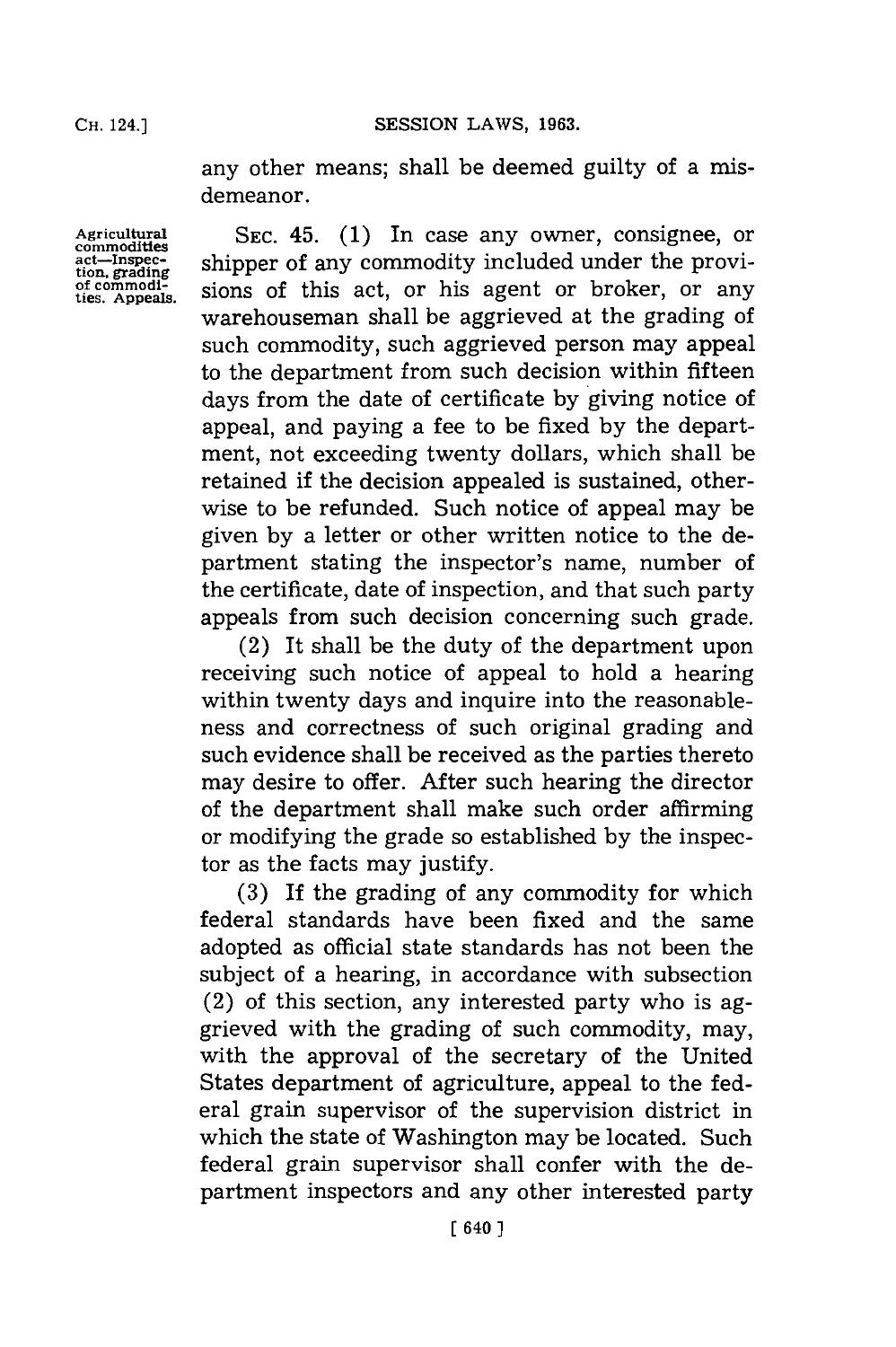Cii. **24.]SESSION** LAWS, **1963.**

any other means; shall be deemed guilty of a misdemeanor.

Agricultural<br>commodities<br>act—Inspec-<br>tion, grading<br>of commodi-<br>ties. Appeals.

SEC. 45. (1) In case any owner, consignee, or shipper of any commodity included under the provisions of this act, or his agent or broker, or any warehouseman shall be aggrieved at the grading of such commodity, such aggrieved person may appeal to the department from such decision within fifteen days from the date of certificate **by** giving notice of appeal, and paying a fee to be fixed **by** the department, not exceeding twenty dollars, which shall be retained if the decision appealed is sustained, otherwise to be refunded. Such notice of appeal may be given **by** a letter or other written notice to the department stating the inspector's name, number of the certificate, date of inspection, and that such party appeals from such decision concerning such grade.

(2) It shall be the duty of the department upon receiving such notice of appeal to hold a hearing within twenty days and inquire into the reasonableness and correctness of such original grading and such evidence shall be received as the parties thereto may desire to offer. After such hearing the director of the department shall make such order affirming or modifying the grade so established **by** the inspector as the facts may justify.

**(3)** If the grading of any commodity for which federal standards have been fixed and the same adopted as official state standards has not been the subject of a hearing, in accordance with subsection (2) of this section, any interested party who is aggrieved with the grading of such commodity, may, with the approval of the secretary of the United States department of agriculture, appeal to the federal grain supervisor of the supervision district in which the state of Washington may be located. Such federal grain supervisor shall confer with the department inspectors and any other interested party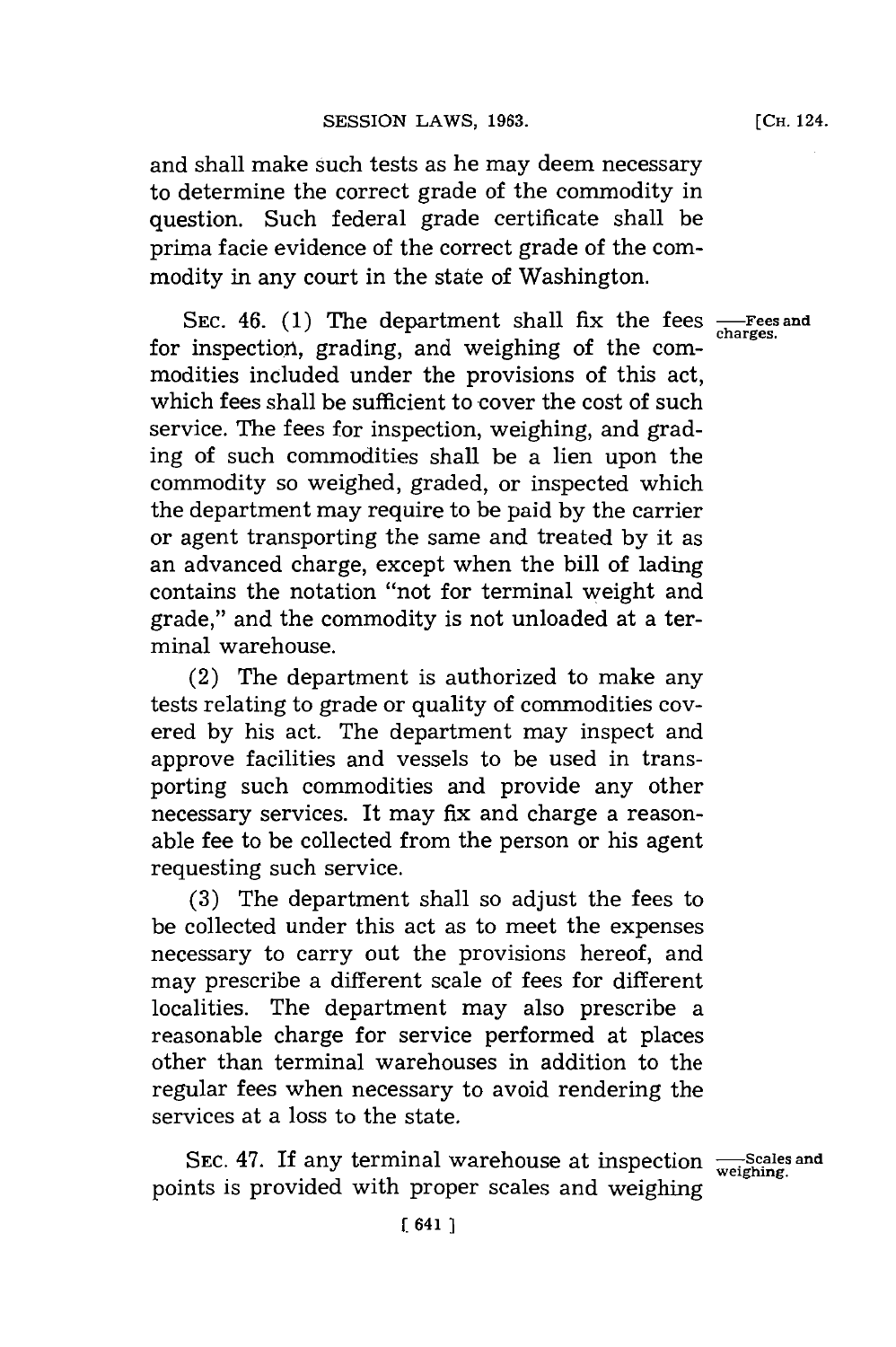and shall make such tests as he may deem necessary to determine the correct grade of the commodity in question. Such federal grade certificate shall be prima facie evidence of the correct grade of the commodity in any court in the state of Washington.

SEC. 46. (1) The department shall fix the fees  $\frac{F}{\text{charges}}$ for inspection, grading, and weighing of the commodities included under the provisions of this act, which fees shall be sufficient to cover the cost of such service. The fees for inspection, weighing, and grading of such commodities shall be a lien upon the commodity so weighed, graded, or inspected which the department may require to be paid **by** the carrier or agent transporting the same and treated **by** it as an advanced charge, except when the bill of lading contains the notation "not for terminal weight and grade," and the commodity is not unloaded at a terminal warehouse.

(2) The department is authorized to make any tests relating to grade or quality of commodities covered **by** his act. The department may inspect and approve facilities and vessels to be used in transporting such commodities and provide any other necessary services. It may fix and charge a reasonable fee to be collected from the person or his agent requesting such service.

**(3)** The department shall so adjust the fees to be collected under this act as to meet the expenses necessary to carry out the provisions hereof, and may prescribe a different scale of fees for different localities. The department may also prescribe a reasonable charge for service performed at places other than terminal warehouses in addition to the regular fees when necessary to avoid rendering the services at a loss to the state.

SEC. 47. If any terminal warehouse at inspection  $\frac{Scales}{weighting}$ . points is provided with proper scales and weighing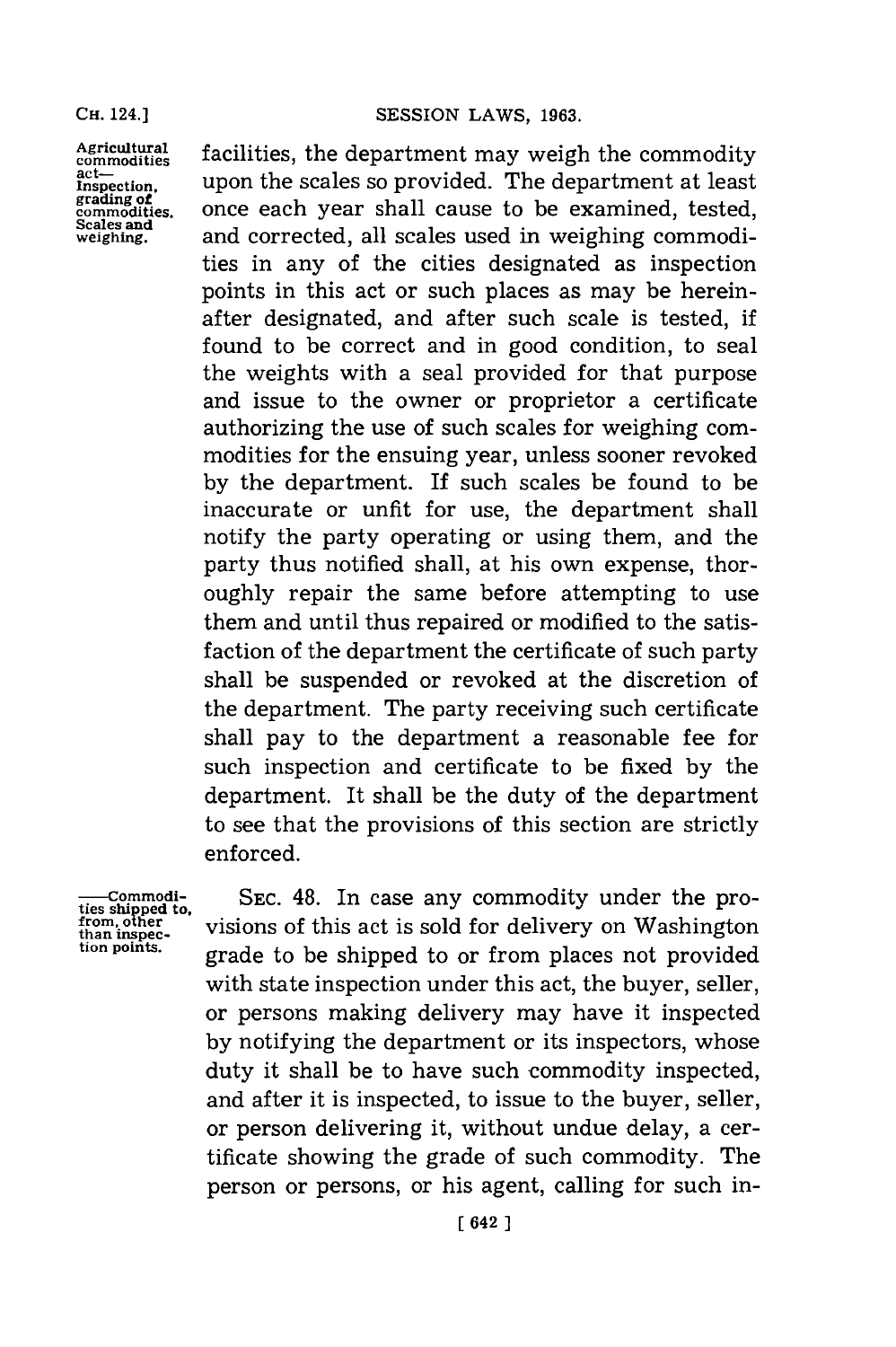**Agricultural commodities act-Inspection, grading of commodities. Scales and weighing.**

facilities, the department may weigh the commodity upon the scales so provided. The department at least once each year shall cause to be examined, tested, and corrected, all scales used in weighing commodities in any of the cities designated as inspection points in this act or such places as may be hereinafter designated, and after such scale is tested, if found to be correct and in good condition, to seal the weights with a seal provided for that purpose and issue to the owner or proprietor a certificate authorizing the use of such scales for weighing commodities for the ensuing year, unless sooner revoked **by** the department. If such scales be found to be inaccurate or unfit for use, the department shall notify the party operating or using them, and the party thus notified shall, at his own expense, thoroughly repair the same before attempting to use them and until thus repaired or modified to the satisfaction of the department the certificate of such party shall be suspended or revoked at the discretion of the department. The party receiving such certificate shall pay to the department a reasonable fee for such inspection and certificate to be fixed **by** the department. It shall be the duty of the department to see that the provisions of this section are strictly enforced.

**-- Commodities shipped to, from, other tion points.** 

**SEC.** 48. In case any commodity under the provisions of this act is sold **for** delivery on Washington grade to be shipped to or from places not provided with state inspection under this act, the buyer, seller, or persons making delivery may have it inspected **by** notifying the department or its inspectors, whose duty it shall be to have such commodity inspected, and after it is inspected, to issue to the buyer, seller, or person delivering it, without undue delay, a certificate showing the grade of such commodity. The person or persons, or his agent, calling for such in-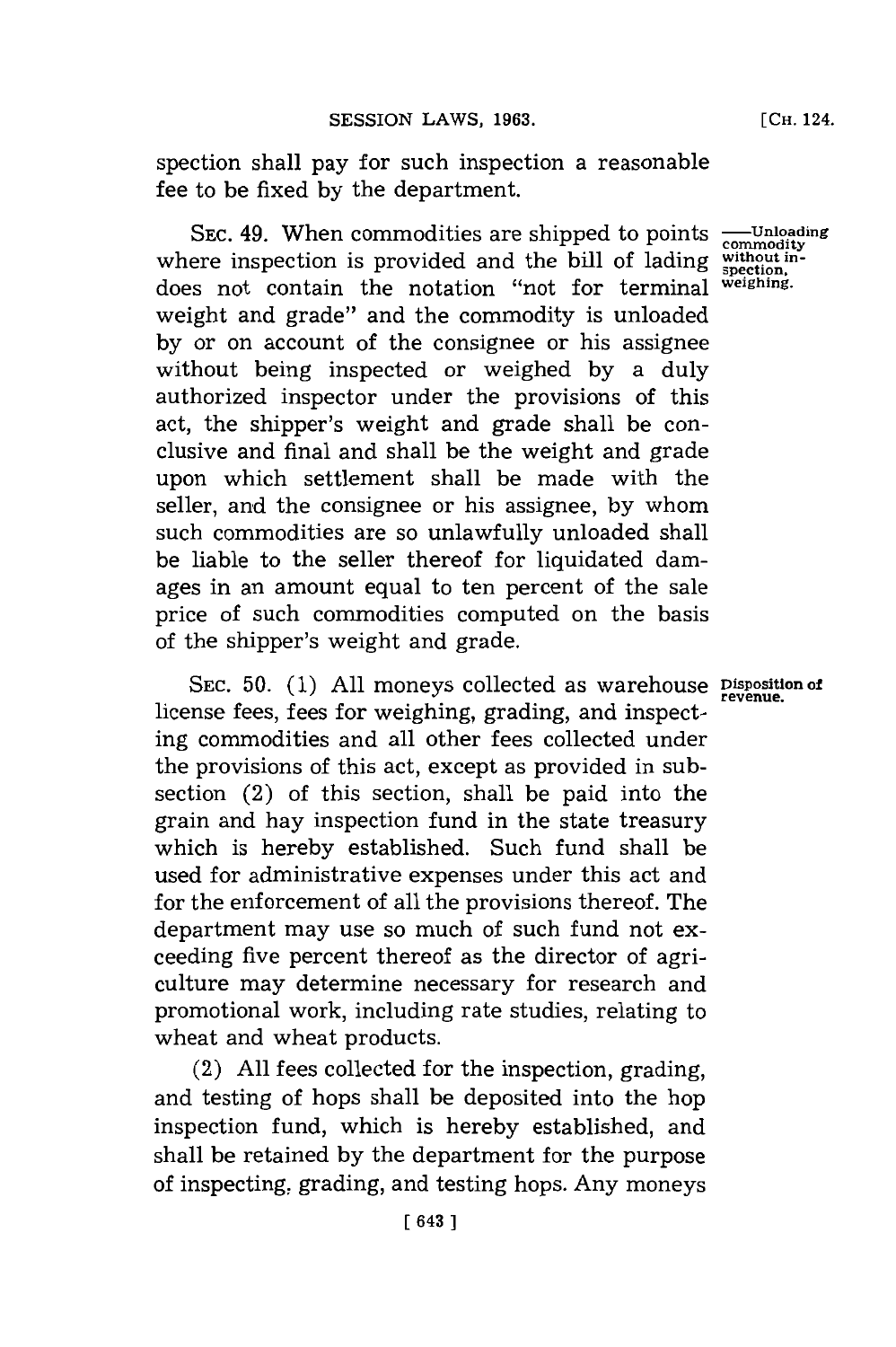spection shall pay for such inspection a reasonable fee to be fixed **by** the department.

SEC. 49. When commodities are shipped to points  $\frac{1}{\text{commonity}}$ where inspection is provided and the bill of lading does not contain the notation "not for terminal weight and grade" and the commodity is unloaded **by** or on account of the consignee or his assignee without being inspected or weighed **by** a duly authorized inspector under the provisions of this act, the shipper's weight and grade shall be conclusive and final and shall be the weight and grade upon which settlement shall be made with the seller, and the consignee or his assignee, **by** whom such commodities are so unlawfully unloaded shall be liable to the seller thereof for liquidated damages in an amount equal to ten percent of the sale price of such commodities computed on the basis of the shipper's weight and grade.

SEC. 50. (1) All moneys collected as warehouse **Disposition of** license fees, fees for weighing, grading, and inspecting commodities and all other fees collected under the provisions of this act, except as provided in subsection (2) of this section, shall be paid into the grain and hay inspection fund in the state treasury which is hereby established. Such fund shall be used for administrative expenses under this act and for the enforcement of all the provisions thereof. The department may use so much of such fund not exceeding five percent thereof as the director of agriculture may determine necessary for research and promotional work, including rate studies, relating to wheat and wheat products.

(2) **All** fees collected for the inspection, grading, and testing of hops shall be deposited into the hop inspection fund, which is hereby established, and shall be retained **by** the department for the purpose of inspecting, grading, and testing hops. Any moneys

**without inspetion, weighing.**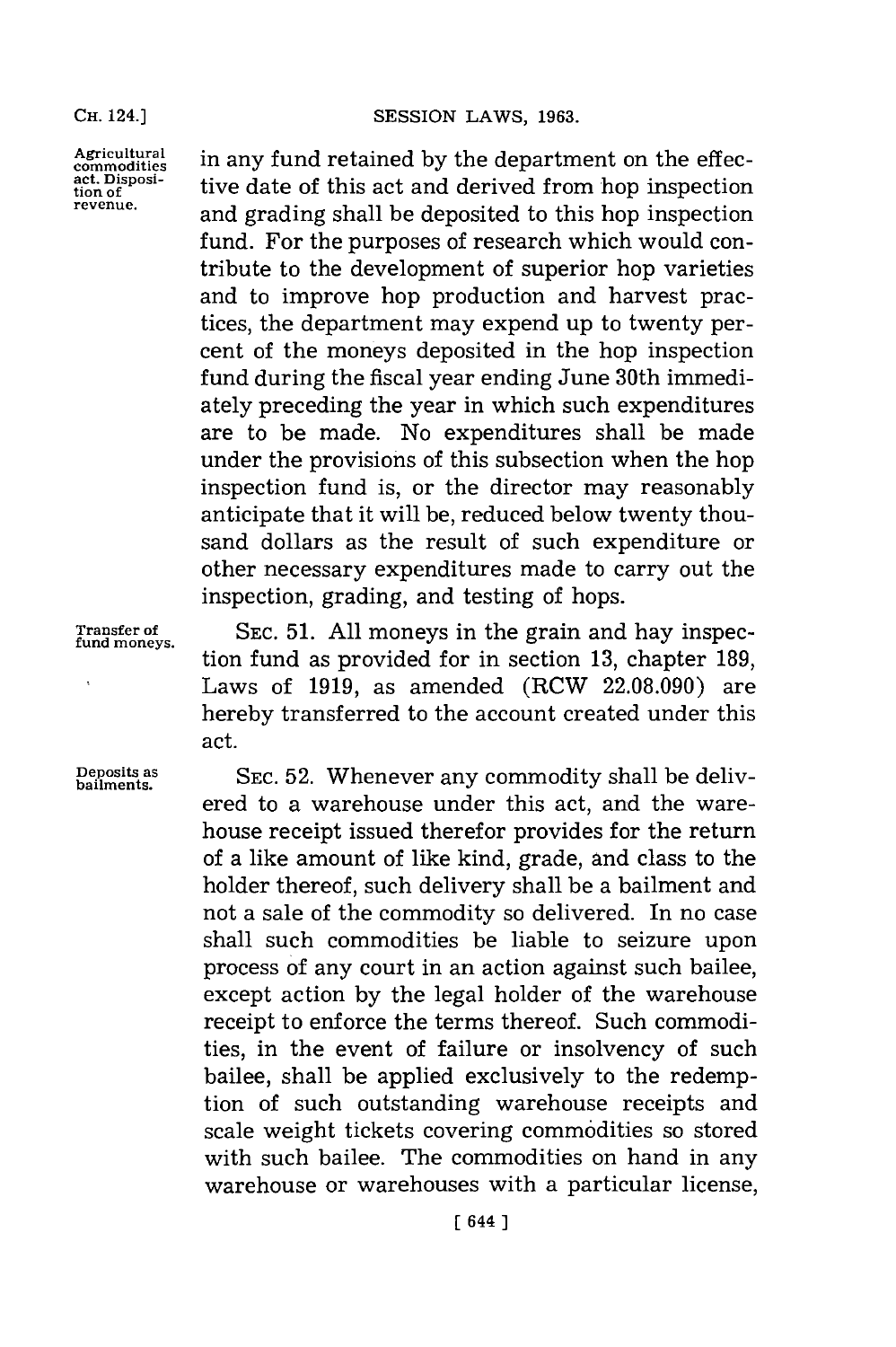Agricultural in any fund retained by the department on the effection act. Disposi-<br>act. Disposi-<br> $\frac{1}{2}$  tive data of this act, and depitted from han increasing act. Disposi-<br>tion of **the contact of this act and derived from hop inspection revenue,** and grading shall be deposited to this hop inspection fund. For the purposes of research which would contribute to the development of superior hop varieties and to improve hop production and harvest practices, the department may expend up to twenty percent of the moneys deposited in the hop inspection fund during the fiscal year ending June 30th immediately preceding the year in which such expenditures are to be made. No expenditures shall be made under the provisions of this subsection when the hop inspection fund is, or the director may reasonably anticipate that it will be, reduced below twenty thousand dollars as the result of such expenditure or other necessary expenditures made to carry out the inspection, grading, and testing of hops.

**Transfer of SEC. 51. All** moneys in the grain and hay inspec- **fund moneys.** tion fund as provided for in section **13,** chapter **189,** Laws of **1919,** as amended (RCW **22.08.090)** are hereby transferred to the account created under this act.

**Deposits as SEC.52.** Whenever any commodity shall be delivered to a warehouse under this act, and the warehouse receipt issued therefor provides for the return of a like amount of like kind, grade, and class to the holder thereof, such delivery shall be a bailment and not a sale of the commodity so delivered. In no case shall such commodities be liable to seizure upon process of any court in an action against such bailee, except action **by** the legal holder of the warehouse receipt to enforce the terms thereof. Such commodities, in the event of failure or insolvency of such bailee, shall be applied exclusively to the redemption of such outstanding warehouse receipts and scale weight tickets covering commodities so stored with such bailee. The commodities on hand in any warehouse or warehouses with a particular license,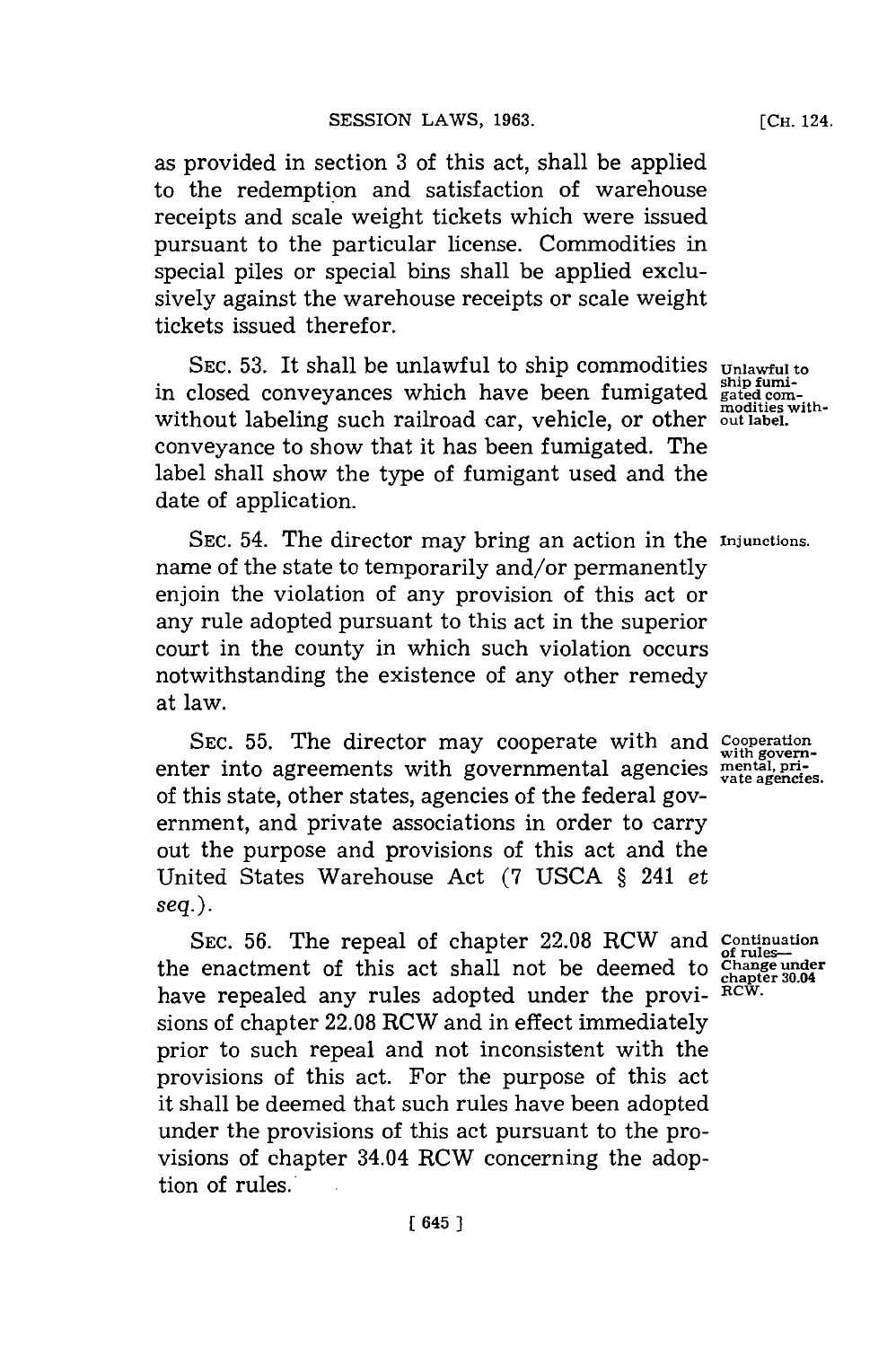as provided in section **3** of this act, shall be applied to the redemption and satisfaction of warehouse receipts and scale weight tickets which were issued pursuant to the particular license. Commodities in special piles or special bins shall be applied exclusively against the warehouse receipts or scale weight tickets issued therefor.

SEC. 53. It shall be unlawful to ship commodities **Unlawful to** in closed conveyances which have been fumigated shipfumi-<br>without labeling such railroad car, vehicle, or other **out label.** conveyance to show that it has been fumigated. The label shall show the type of fumigant used and the date of application.

**SEC.** 54. The director may bring an action in the **Injunctions.** name of the state to temporarily and/or permanently enjoin the violation of any provision of this act or any rule adopted pursuant to this act in the superior court in the county in which such violation occurs notwithstanding the existence of any other remedy at law.

**SEC. 55.** The director may cooperate with and **Cooperation with govern**enter into agreements with governmental agencies **mental**, principle of this state, other states, agencies of the federal government, and private associations in order to carry out the purpose and provisions of this act and the United States Warehouse Act **(7 USCA §** 241 *et seq.).*

**SEC. 56.** The repeal of chapter **22.08** RCW and **continuation of rules--** the enactment of this act shall not be deemed to **Change under chapter 30.04** have repealed any rules adopted under the provi- RCW. sions of chapter **22.08** RCW and in effect immediately prior to such repeal and not inconsistent with the provisions of this act. For the purpose of this act it shall be deemed that such rules have been adopted under the provisions of this act pursuant to the provisions of chapter 34.04 RCW concerning the adoption of rules.<sup>\*</sup>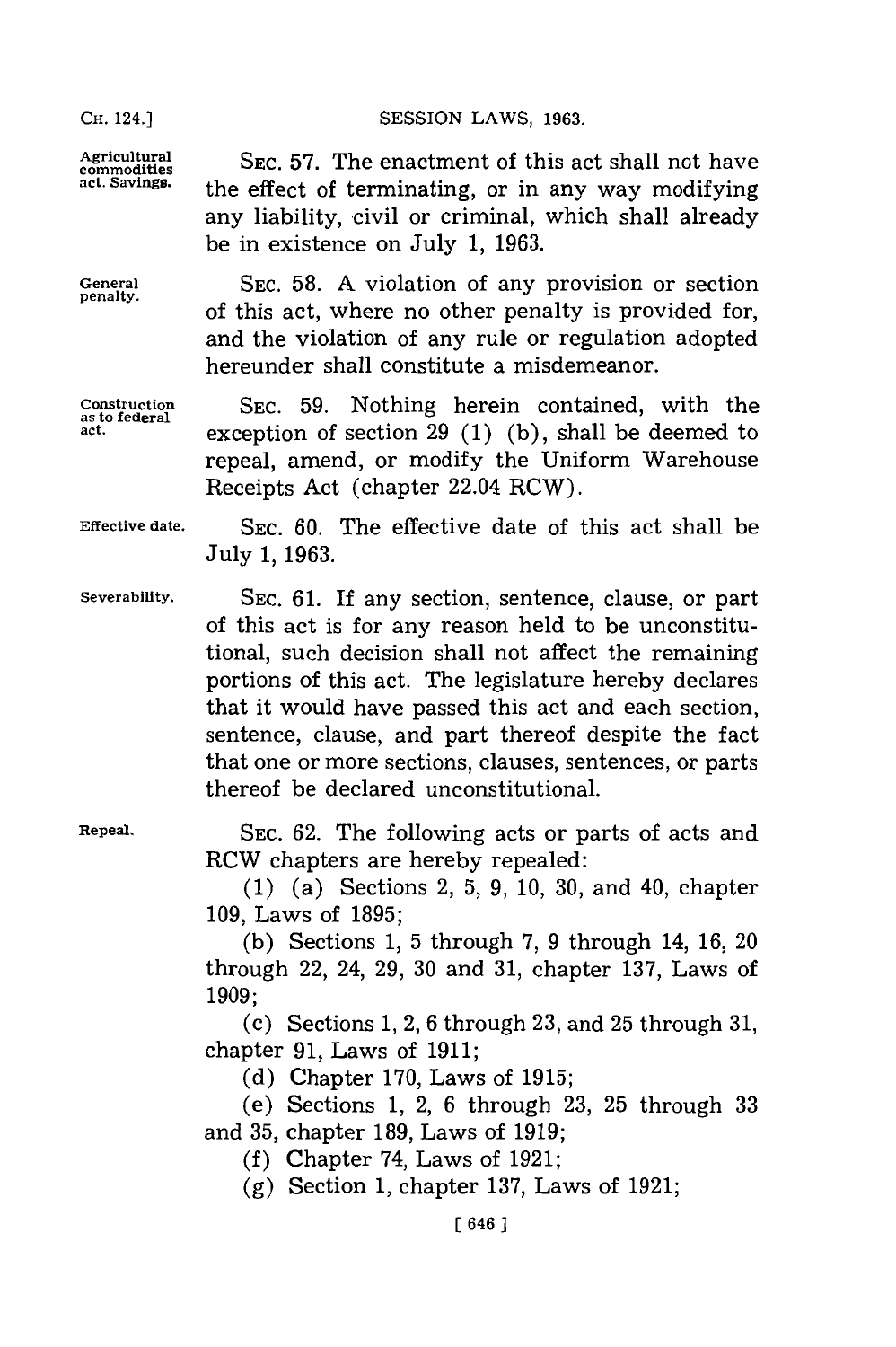SESSION LAWS, 1963.

the effect of terminating, or in any way modifying any liability, civil or criminal, which shall already

be in existence on July **1, 1963.**

Agricultural SEC. 57. The enactment of this act shall not have<br>
commodities<br>
act Savings.<br>
the effect of terminating on in any way modifying

General **SEC.** 58. A violation of any provision or section of this act, where no other penalty is provided for, and the violation of any rule or regulation adopted hereunder shall constitute a misdemeanor.

Construction **SEC. 59.** Nothing herein contained, with the as to federal exception of section 20 (1) (b) shall be deemed to exception of section  $29(1)(b)$ , shall be deemed to repeal, amend, or modify the Uniform Warehouse Receipts Act (chapter 22.04 RCW).

Effective date. **SEC. 60.** The effective date of this act shall be July **1, 1963.**

Severability. **SEC. 61.** If any section, sentence, clause, or part of this act is for any reason held to be unconstitutional, such decision shall not affect the remaining portions of this act. The legislature hereby declares that it would have passed this act and each section, sentence, clause, and part thereof despite the fact that one or more sections, clauses, sentences, or parts thereof be declared unconstitutional.

Repeal. **SEC. 62. The following acts or parts of acts and** RCW chapters are hereby repealed:

> **(1)** (a) Sections 2, **5, 9, 10, 30,** and 40, chapter **109,** Laws of **1895;**

> **(b)** Sections **1, 5** through **7, 9** through 14, **16,** <sup>20</sup> through 22, 24, **29, 30** and **31,** chapter **137,** Laws of **1909;**

> **(c)** Sections **1,** 2, **6** through **23,** and **25** through **31,** chapter **91,** Laws of **1911;**

**(d)** Chapter **170,** Laws of **1915;**

(e) Sections **1,** 2, **6** through **23, 25** through **33** and **35,** chapter **189,** Laws of **1919;**

**(f)** Chapter 74, Laws of **1921;**

**(g)** Section **1,** chapter **137,** Laws of **1921;**